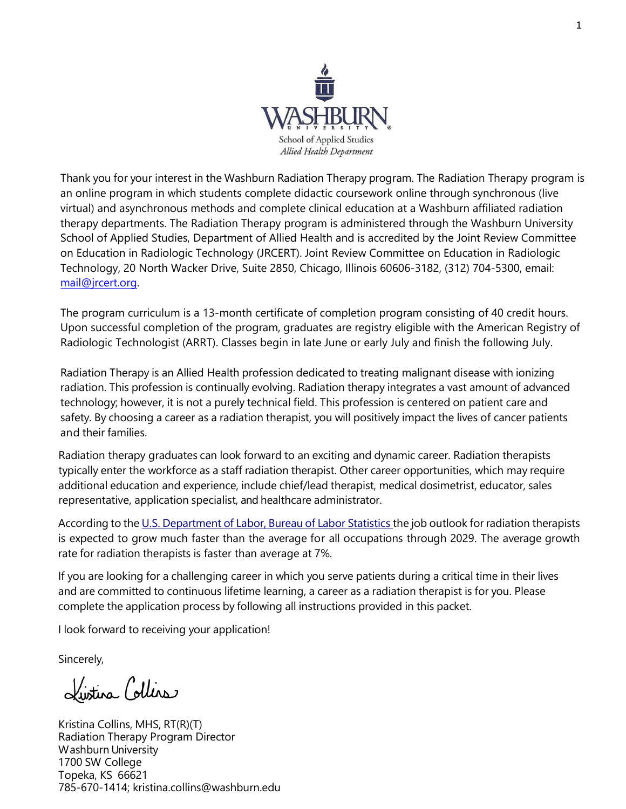

Thank you for your interest in the Washburn Radiation Therapy program. The Radiation Therapy program is an online program in which students complete didactic coursework online through synchronous (live virtual) and asynchronous methods and complete clinical education at a Washburn affiliated radiation therapy departments. The Radiation Therapy program is administered through the Washburn University School of Applied Studies, Department of Allied Health and is accredited by the Joint Review Committee on Education in Radiologic Technology (JRCERT). Joint Review Committee on Education in Radiologic Technology, 20 North Wacker Drive, Suite 2850, Chicago, Illinois 60606-3182, (312) 704-5300, email: [mail@jrcert.org.](mailto:mail@jrcert.org)

The program curriculum is a 13-month certificate of completion program consisting of 40 credit hours. Upon successful completion of the program, graduates are registry eligible with the American Registry of Radiologic Technologist (ARRT). Classes begin in late June or early July and finish the following July.

Radiation Therapy is an Allied Health profession dedicated to treating malignant disease with ionizing radiation. This profession is continually evolving. Radiation therapy integrates a vast amount of advanced technology; however, it is not a purely technical field. This profession is centered on patient care and safety. By choosing a career as a radiation therapist, you will positively impact the lives of cancer patients and their families.

Radiation therapy graduates can look forward to an exciting and dynamic career. Radiation therapists typically enter the workforce as a staff radiation therapist. Other career opportunities, which may require additional education and experience, include chief/lead therapist, medical dosimetrist, educator, sales representative, application specialist, and healthcare administrator.

According to the U.S. [Department](http://www.bls.gov/ooh/healthcare/radiation-therapists.htm) of Labor, Bureau of Labor Statistics the job outlook for radiation therapists is expected to grow much faster than the average for all occupations through 2029. The average growth rate for radiation therapists is faster than average at 7%.

If you are looking for a challenging career in which you serve patients during a critical time in their lives and are committed to continuous lifetime learning, a career as a radiation therapist is for you. Please complete the application process by following all instructions provided in this packet.

I look forward to receiving your application!

Sincerely,

Lustina Collins

Kristina Collins, MHS, RT(R)(T) Radiation Therapy Program Director Washburn University 1700 SW College Topeka, KS 66621 785-670-1414; kristina.collins@washburn.edu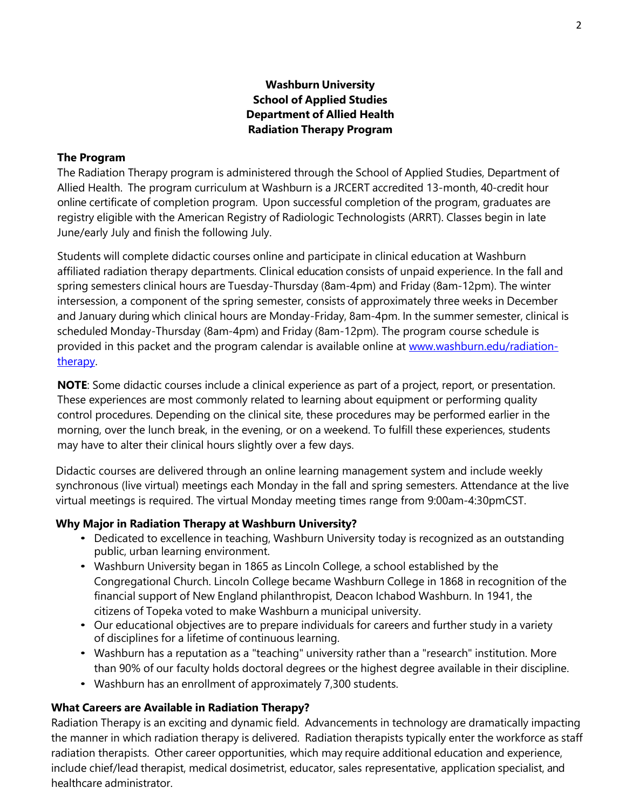### **Washburn University School of Applied Studies Department of Allied Health Radiation Therapy Program**

#### **The Program**

The Radiation Therapy program is administered through the School of Applied Studies, Department of Allied Health. The program curriculum at Washburn is a JRCERT accredited 13-month, 40-credit hour online certificate of completion program. Upon successful completion of the program, graduates are registry eligible with the American Registry of Radiologic Technologists (ARRT). Classes begin in late June/early July and finish the following July.

Students will complete didactic courses online and participate in clinical education at Washburn affiliated radiation therapy departments. Clinical education consists of unpaid experience. In the fall and spring semesters clinical hours are Tuesday-Thursday (8am-4pm) and Friday (8am-12pm). The winter intersession, a component of the spring semester, consists of approximately three weeks in December and January during which clinical hours are Monday-Friday, 8am-4pm. In the summer semester, clinical is scheduled Monday-Thursday (8am-4pm) and Friday (8am-12pm). The program course schedule is provided in this packet and the program calendar is available online at [www.washburn.edu/radiation](http://www.washburn.edu/radiation-therapy)[therapy.](http://www.washburn.edu/radiation-therapy)

**NOTE**: Some didactic courses include a clinical experience as part of a project, report, or presentation. These experiences are most commonly related to learning about equipment or performing quality control procedures. Depending on the clinical site, these procedures may be performed earlier in the morning, over the lunch break, in the evening, or on a weekend. To fulfill these experiences, students may have to alter their clinical hours slightly over a few days.

Didactic courses are delivered through an online learning management system and include weekly synchronous (live virtual) meetings each Monday in the fall and spring semesters. Attendance at the live virtual meetings is required. The virtual Monday meeting times range from 9:00am-4:30pmCST.

#### **Why Major in Radiation Therapy at Washburn University?**

- Dedicated to excellence in teaching, Washburn University today is recognized as an outstanding public, urban learning environment.
- Washburn University began in 1865 as Lincoln College, a school established by the Congregational Church. Lincoln College became Washburn College in 1868 in recognition of the financial support of New England philanthropist, Deacon Ichabod Washburn. In 1941, the citizens of Topeka voted to make Washburn a municipal university.
- Our educational objectives are to prepare individuals for careers and further study in a variety of disciplines for a lifetime of continuous learning.
- Washburn has a reputation as a "teaching" university rather than a "research" institution. More than 90% of our faculty holds doctoral degrees or the highest degree available in their discipline.
- Washburn has an enrollment of approximately 7,300 students.

### **What Careers are Available in Radiation Therapy?**

Radiation Therapy is an exciting and dynamic field. Advancements in technology are dramatically impacting the manner in which radiation therapy is delivered. Radiation therapists typically enter the workforce as staff radiation therapists. Other career opportunities, which may require additional education and experience, include chief/lead therapist, medical dosimetrist, educator, sales representative, application specialist, and healthcare administrator.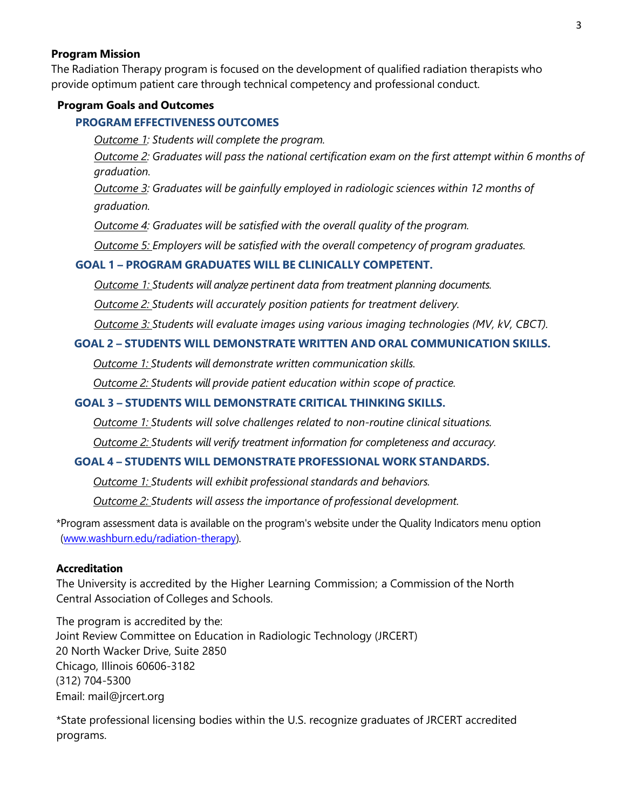#### **Program Mission**

The Radiation Therapy program is focused on the development of qualified radiation therapists who provide optimum patient care through technical competency and professional conduct.

#### **Program Goals and Outcomes**

#### **PROGRAM EFFECTIVENESS OUTCOMES**

*Outcome 1: Students will complete the program.*

*Outcome 2: Graduates will pass the national certification exam on the first attempt within 6 months of graduation.*

*Outcome 3: Graduates will be gainfully employed in radiologic sciences within 12 months of graduation.*

*Outcome 4: Graduates will be satisfied with the overall quality of the program.*

*Outcome 5: Employers will be satisfied with the overall competency of program graduates.*

### **GOAL 1 – PROGRAM GRADUATES WILL BE CLINICALLY COMPETENT.**

*Outcome 1: Students will analyze pertinent data from treatment planning documents.* 

*Outcome 2: Students will accurately position patients for treatment delivery.*

*Outcome 3: Students will evaluate images using various imaging technologies (MV, kV, CBCT).*

#### **GOAL 2 – STUDENTS WILL DEMONSTRATE WRITTEN AND ORAL COMMUNICATION SKILLS.**

*Outcome 1: Students will demonstrate written communication skills.*

*Outcome 2: Students will provide patient education within scope of practice.*

#### **GOAL 3 – STUDENTS WILL DEMONSTRATE CRITICAL THINKING SKILLS.**

*Outcome 1: Students will solve challenges related to non-routine clinical situations. Outcome 2: Students will verify treatment information for completeness and accuracy.*

### **GOAL 4 – STUDENTS WILL DEMONSTRATE PROFESSIONAL WORK STANDARDS.**

*Outcome 1: Students will exhibit professional standards and behaviors.* 

*Outcome 2: Students will assess the importance of professional development.*

\*Program assessment data is available on the program's website under the Quality Indicators menu option [\(www.washburn.edu/radiation-therapy\)](http://www.washburn.edu/radiation-therapy).

#### **Accreditation**

The University is accredited by the Higher Learning Commission; a Commission of the North Central Association of Colleges and Schools.

The program is accredited by the: Joint Review Committee on Education in Radiologic Technology (JRCERT) 20 North Wacker Drive, Suite 2850 Chicago, Illinois 60606-3182 (312) 704-5300 Email: mail@jrcert.org

\*State professional licensing bodies within the U.S. recognize graduates of JRCERT accredited programs.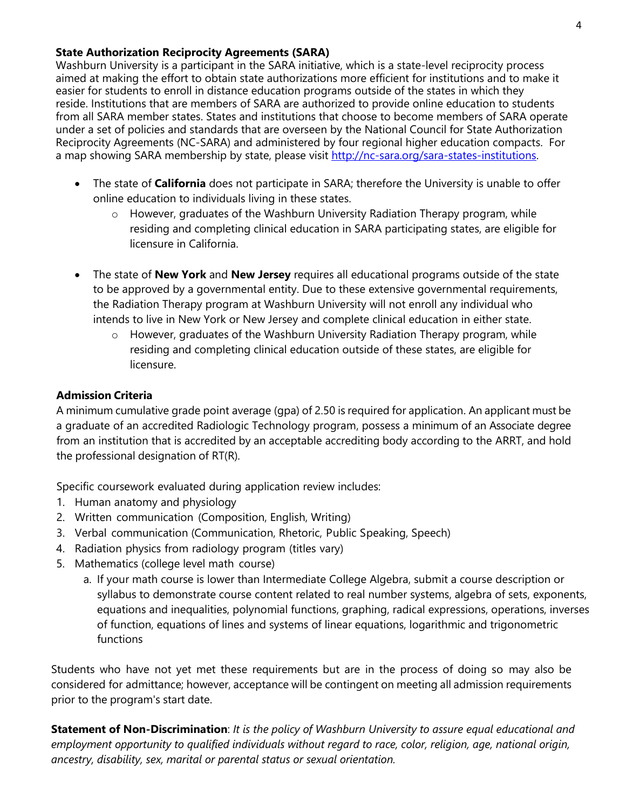#### **State Authorization Reciprocity Agreements (SARA)**

Washburn University is a participant in the SARA initiative, which is a state-level reciprocity process aimed at making the effort to obtain state authorizations more efficient for institutions and to make it easier for students to enroll in distance education programs outside of the states in which they reside. Institutions that are members of SARA are authorized to provide online education to students from all SARA member states. States and institutions that choose to become members of SARA operate under a set of policies and standards that are overseen by the National Council for State Authorization Reciprocity Agreements (NC-SARA) and administered by four regional higher education compacts. For a map showing SARA membership by state, please visit [http://nc-sara.org/sara-states-institutions.](http://nc-sara.org/sara-states-institutions)

- The state of **California** does not participate in SARA; therefore the University is unable to offer online education to individuals living in these states.
	- o However, graduates of the Washburn University Radiation Therapy program, while residing and completing clinical education in SARA participating states, are eligible for licensure in California.
- The state of **New York** and **New Jersey** requires all educational programs outside of the state to be approved by a governmental entity. Due to these extensive governmental requirements, the Radiation Therapy program at Washburn University will not enroll any individual who intends to live in New York or New Jersey and complete clinical education in either state.
	- $\circ$  However, graduates of the Washburn University Radiation Therapy program, while residing and completing clinical education outside of these states, are eligible for licensure.

## **Admission Criteria**

A minimum cumulative grade point average (gpa) of 2.50 is required for application. An applicant must be a graduate of an accredited Radiologic Technology program, possess a minimum of an Associate degree from an institution that is accredited by an acceptable accrediting body according to the ARRT, and hold the professional designation of RT(R).

Specific coursework evaluated during application review includes:

- 1. Human anatomy and physiology
- 2. Written communication (Composition, English, Writing)
- 3. Verbal communication (Communication, Rhetoric, Public Speaking, Speech)
- 4. Radiation physics from radiology program (titles vary)
- 5. Mathematics (college level math course)
	- a. If your math course is lower than Intermediate College Algebra, submit a course description or syllabus to demonstrate course content related to real number systems, algebra of sets, exponents, equations and inequalities, polynomial functions, graphing, radical expressions, operations, inverses of function, equations of lines and systems of linear equations, logarithmic and trigonometric functions

Students who have not yet met these requirements but are in the process of doing so may also be considered for admittance; however, acceptance will be contingent on meeting all admission requirements prior to the program's start date.

**Statement of Non-Discrimination**: *It is the policy of Washburn University to assure equal educational and employment opportunity to qualified individuals without regard to race, color, religion, age, national origin, ancestry, disability, sex, marital or parental status or sexual orientation.*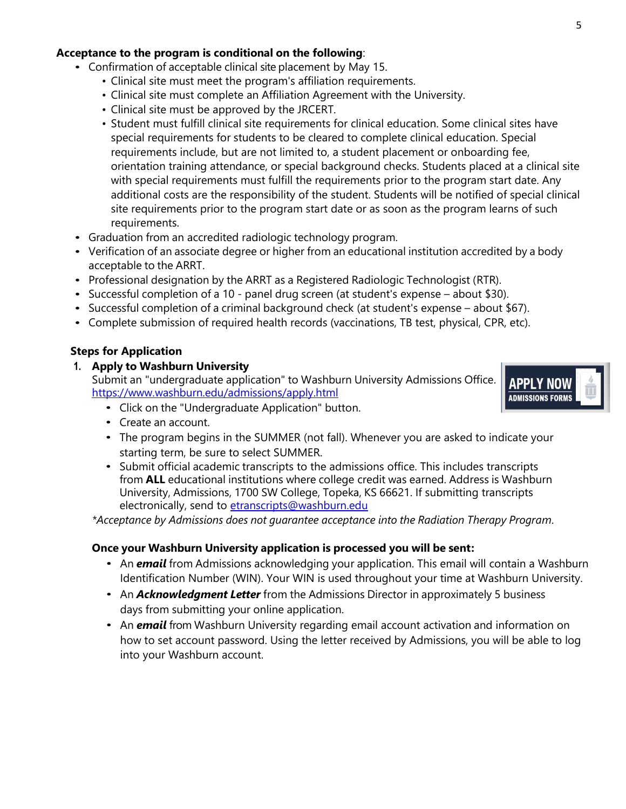#### **Acceptance to the program is conditional on the following**:

- Confirmation of acceptable clinical site placement by May 15.
	- Clinical site must meet the program's affiliation requirements.
	- Clinical site must complete an Affiliation Agreement with the University.
	- Clinical site must be approved by the JRCERT.
	- Student must fulfill clinical site requirements for clinical education. Some clinical sites have special requirements for students to be cleared to complete clinical education. Special requirements include, but are not limited to, a student placement or onboarding fee, orientation training attendance, or special background checks. Students placed at a clinical site with special requirements must fulfill the requirements prior to the program start date. Any additional costs are the responsibility of the student. Students will be notified of special clinical site requirements prior to the program start date or as soon as the program learns of such requirements.
- Graduation from an accredited radiologic technology program.
- Verification of an associate degree or higher from an educational institution accredited by a body acceptable to the ARRT.
- Professional designation by the ARRT as a Registered Radiologic Technologist (RTR).
- Successful completion of a 10 panel drug screen (at student's expense about \$30).
- Successful completion of a criminal background check (at student's expense about \$67).
- Complete submission of required health records (vaccinations, TB test, physical, CPR, etc).

## **Steps for Application**

### **1. Apply to Washburn University**

Submit an "undergraduate application" to Washburn University Admissions Office. <https://www.washburn.edu/admissions/apply.html>



- Click on the "Undergraduate Application" button.
- Create an account.
- The program begins in the SUMMER (not fall). Whenever you are asked to indicate your starting term, be sure to select SUMMER.
- Submit official academic transcripts to the admissions office. This includes transcripts from **ALL** educational institutions where college credit was earned. Address is Washburn University, Admissions, 1700 SW College, Topeka, KS 66621. If submitting transcripts electronically, send to [etranscripts@washburn.edu](mailto:etranscripts@washburn.edu)

*\*Acceptance by Admissions does not guarantee acceptance into the Radiation Therapy Program.*

### **Once your Washburn University application is processed you will be sent:**

- An *email* from Admissions acknowledging your application. This email will contain a Washburn Identification Number (WIN). Your WIN is used throughout your time at Washburn University.
- An *Acknowledgment Letter* from the Admissions Director in approximately 5 business days from submitting your online application.
- An *email* from Washburn University regarding email account activation and information on how to set account password. Using the letter received by Admissions, you will be able to log into your Washburn account.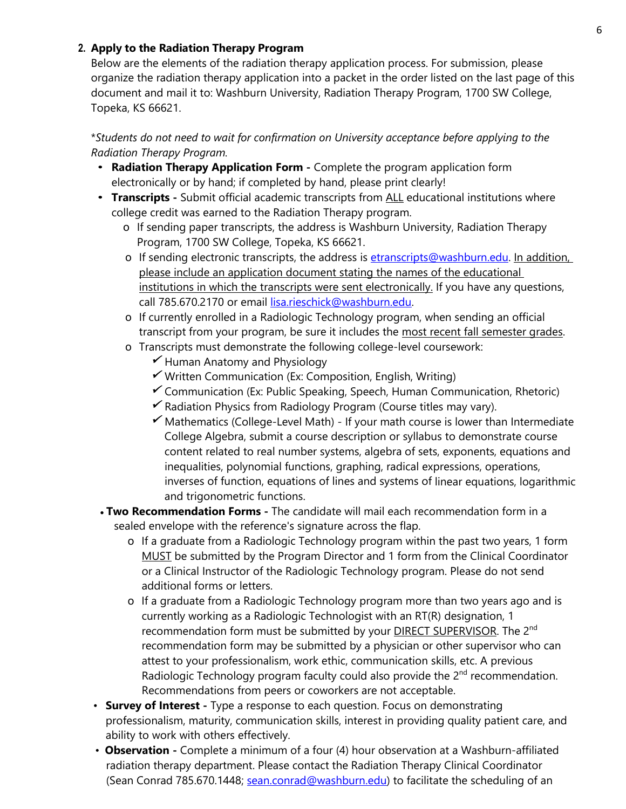### **2. Apply to the Radiation Therapy Program**

Below are the elements of the radiation therapy application process. For submission, please organize the radiation therapy application into a packet in the order listed on the last page of this document and mail it to: Washburn University, Radiation Therapy Program, 1700 SW College, Topeka, KS 66621.

\**Students do not need to wait for confirmation on University acceptance before applying to the Radiation Therapy Program.*

- **Radiation Therapy Application Form -** Complete the program application form electronically or by hand; if completed by hand, please print clearly!
- **Transcripts -** Submit official academic transcripts from ALL educational institutions where college credit was earned to the Radiation Therapy program.
	- o If sending paper transcripts, the address is Washburn University, Radiation Therapy Program, 1700 SW College, Topeka, KS 66621.
	- o If sending electronic transcripts, the address is [etranscripts@washburn.edu.](mailto:etranscripts@washburn.edu) In addition, please include an application document stating the names of the educational institutions in which the transcripts were sent electronically. If you have any questions, call 785.670.2170 or email [lisa.rieschick@washburn.edu.](mailto:lisa.rieschick@washburn.edu)
	- o If currently enrolled in a Radiologic Technology program, when sending an official transcript from your program, be sure it includes the most recent fall semester grades.
	- o Transcripts must demonstrate the following college-level coursework:
		- Human Anatomy and Physiology
		- Written Communication (Ex: Composition, English, Writing)
		- Communication (Ex: Public Speaking, Speech, Human Communication, Rhetoric)
		- Radiation Physics from Radiology Program (Course titles may vary).
		- Mathematics (College-Level Math) *-* If your math course is lower than Intermediate College Algebra, submit a course description or syllabus to demonstrate course content related to real number systems, algebra of sets, exponents, equations and inequalities, polynomial functions, graphing, radical expressions, operations, inverses of function, equations of lines and systems of linear equations, logarithmic and trigonometric functions.
- **Two Recommendation Forms -** The candidate will mail each recommendation form in a sealed envelope with the reference's signature across the flap.
	- o If a graduate from a Radiologic Technology program within the past two years, 1 form MUST be submitted by the Program Director and 1 form from the Clinical Coordinator or a Clinical Instructor of the Radiologic Technology program. Please do not send additional forms or letters.
	- o If a graduate from a Radiologic Technology program more than two years ago and is currently working as a Radiologic Technologist with an RT(R) designation, 1 recommendation form must be submitted by your **DIRECT SUPERVISOR**. The 2<sup>nd</sup> recommendation form may be submitted by a physician or other supervisor who can attest to your professionalism, work ethic, communication skills, etc. A previous Radiologic Technology program faculty could also provide the  $2<sup>nd</sup>$  recommendation. Recommendations from peers or coworkers are not acceptable.
- **Survey of Interest -** Type a response to each question. Focus on demonstrating professionalism, maturity, communication skills, interest in providing quality patient care, and ability to work with others effectively.
- **Observation -** Complete a minimum of a four (4) hour observation at a Washburn-affiliated radiation therapy department. Please contact the Radiation Therapy Clinical Coordinator (Sean Conrad 785.670.1448; [sean.conrad@washburn.edu\)](file://wushare.wuad.washburn.edu/WU/AlliedHealth/Marie) to facilitate the scheduling of an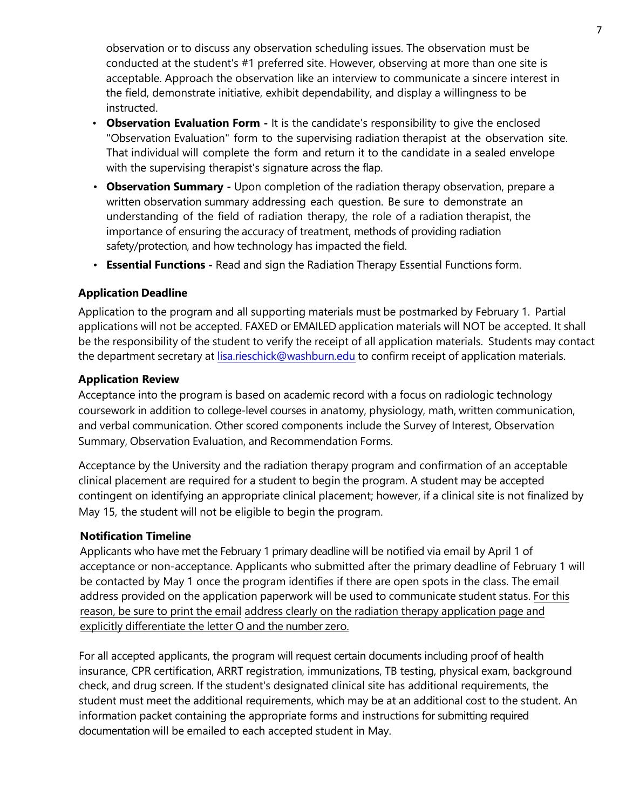observation or to discuss any observation scheduling issues. The observation must be conducted at the student's #1 preferred site. However, observing at more than one site is acceptable. Approach the observation like an interview to communicate a sincere interest in the field, demonstrate initiative, exhibit dependability, and display a willingness to be instructed.

- **Observation Evaluation Form** It is the candidate's responsibility to give the enclosed "Observation Evaluation" form to the supervising radiation therapist at the observation site. That individual will complete the form and return it to the candidate in a sealed envelope with the supervising therapist's signature across the flap.
- **Observation Summary** Upon completion of the radiation therapy observation, prepare a written observation summary addressing each question. Be sure to demonstrate an understanding of the field of radiation therapy, the role of a radiation therapist, the importance of ensuring the accuracy of treatment, methods of providing radiation safety/protection, and how technology has impacted the field.
- **Essential Functions** Read and sign [the Radiatio](mailto:susan.kobzar@washburn.edu)n Therapy Essential Functions form.

## **Application Deadline**

Application to the program and all supporting materials must be postmarked by February 1. Partial applications will not be accepted. FAXED or EMAILED application materials will NOT be accepted. It shall be the responsibility of the student to verify the receipt of all application materials. Students may contact the department secretary at lisa.rie[schick@washburn.edu](mailto:lisa.reischick@washburn.edu) to confirm receipt of application materials.

## **Application Review**

Acceptance into the program is based on academic record with a focus on radiologic technology coursework in addition to college-level courses in anatomy, physiology, math, written communication, and verbal communication. Other scored components include the Survey of Interest, Observation Summary, Observation Evaluation, and Recommendation Forms.

Acceptance by the University and the radiation therapy program and confirmation of an acceptable clinical placement are required for a student to begin the program. A student may be accepted contingent on identifying an appropriate clinical placement; however, if a clinical site is not finalized by May 15, the student will not be eligible to begin the program.

### **Notification Timeline**

Applicants who have met the February 1 primary deadline will be notified via email by April 1 of acceptance or non-acceptance. Applicants who submitted after the primary deadline of February 1 will be contacted by May 1 once the program identifies if there are open spots in the class. The email address provided on the application paperwork will be used to communicate student status. For this reason, be sure to print the email address clearly on the radiation therapy application page and explicitly differentiate the letter O and the number zero.

For all accepted applicants, the program will request certain documents including proof of health insurance, CPR certification, ARRT registration, immunizations, TB testing, physical exam, background check, and drug screen. If the student's designated clinical site has additional requirements, the student must meet the additional requirements, which may be at an additional cost to the student. An information packet containing the appropriate forms and instructions for submitting required documentation will be emailed to each accepted student in May.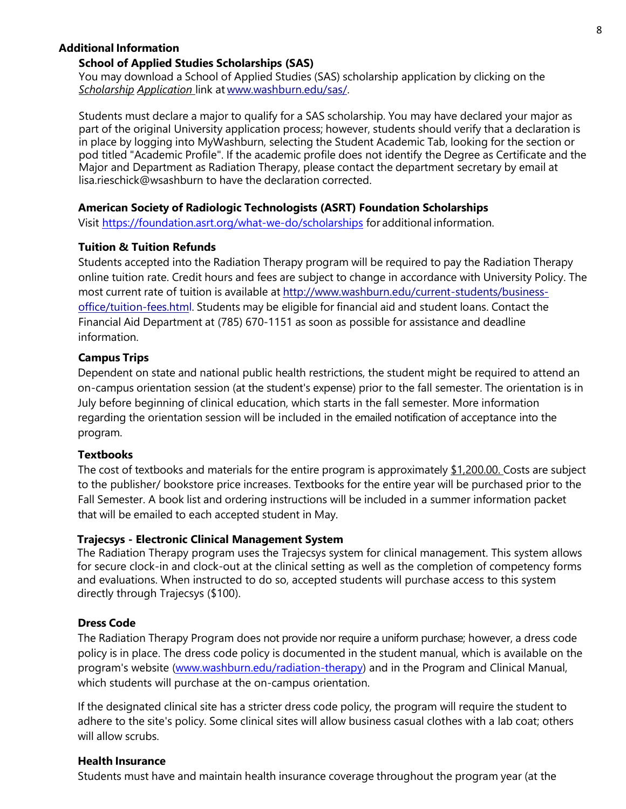#### **Additional Information**

#### **School of Applied Studies Scholarships (SAS)**

You may download a School of Applied Studies (SAS) scholarship application by clicking on the *Scholarship Application* link at [www.washburn.edu/sas/.](http://www.washburn.edu/sas/)

Students must declare a major to qualify for a SAS scholarship. You may have declared your major as part of the original University application process; however, students should verify that a declaration is in place by logging into MyWashburn, selecting the Student Academic Tab, looking for the section or pod titled "Academic Profile". If the academic profile does not identify the Degree as Certificate and the Major and Department as Radiation Therapy, please contact the department secretary by email at lisa.rieschick@wsashburn to have the declaration corrected.

#### **American Society of Radiologic Technologists (ASRT) Foundation Scholarships**

Visit <https://foundation.asrt.org/what-we-do/scholarships> for additional information.

#### **Tuition & Tuition Refunds**

Students accepted into the Radiation Therapy program will be required to pay the Radiation Therapy online tuition rate. Credit hours and fees are subject to change in accordance with University Policy. The most current rate of tuition is available at [http://www.washburn.edu/current-students/business](http://www.washburn.edu/current-students/business-office/tuition-fees.html)[office/tuition-fees.html.](http://www.washburn.edu/current-students/business-office/tuition-fees.html) Students may be eligible for financial aid and student loans. Contact the Financial Aid Department at (785) 670-1151 as soon as possible for assistance and deadline information.

#### **Campus Trips**

Dependent on state and national public health restrictions, the student might be required to attend an on-campus orientation session (at the student's expense) prior to the fall semester. The orientation is in July before beginning of clinical education, which starts in the fall semester. More information regarding the orientation session will be included in the emailed notification of acceptance into the program.

#### **Textbooks**

The cost of textbooks and materials for the entire program is approximately  $$1,200.00$ . Costs are subject to the publisher/ bookstore price increases. Textbooks for the entire year will be purchased prior to the Fall Semester. A book list and ordering instructions will be included in a summer information packet that will be emailed to each accepted student in May.

#### **Trajecsys - Electronic Clinical Management System**

The Radiation Therapy program uses the Trajecsys system for clinical management. This system allows for secure clock-in and clock-out at the clinical setting as well as the completion of competency forms and evaluations. When instructed to do so, accepted students will purchase access to this system directly through Trajecsys (\$100).

#### **Dress Code**

The Radiation Therapy Program does not provide nor require a uniform purchase; however, a dress code policy is in place. The dress code policy is documented in the student manual, which is available on the program's website [\(www.washburn.edu/radiation-therapy\)](http://www.washburn.edu/radiation-therapy) and in the Program and Clinical Manual, which students will purchase at the on-campus orientation.

If the designated clinical site has a stricter dress code policy, the program will require the student to adhere to the site's policy. Some clinical sites will allow business casual clothes with a lab coat; others will allow scrubs.

#### **Health Insurance**

Students must have and maintain health insurance coverage throughout the program year (at the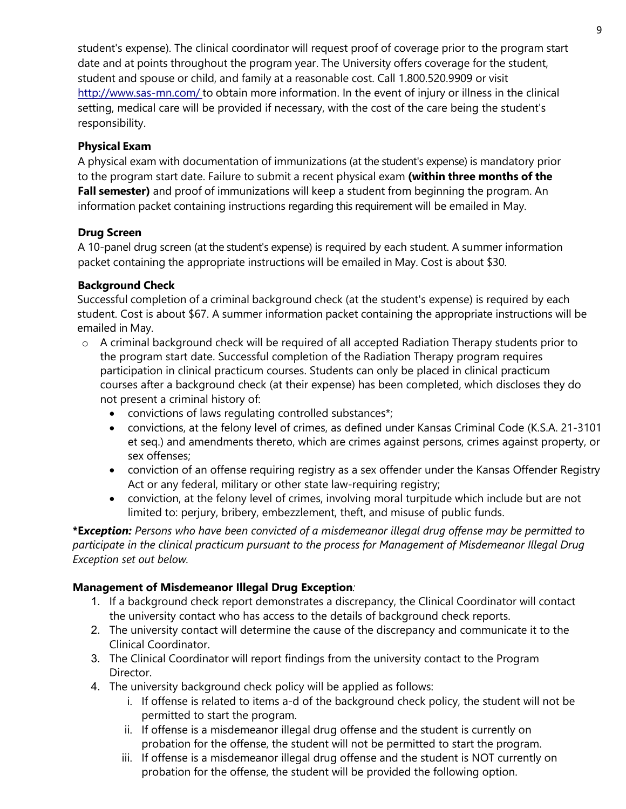student's expense). The clinical coordinator will request proof of coverage prior to the program start date and at points throughout the program year. The University offers coverage for the student, student and spouse or child, and family at a reasonable cost. Call 1.800.520.9909 or visit <http://www.sas-mn.com/> to obtain more information. In the event of injury or illness in the clinical setting, medical care will be provided if necessary, with the cost of the care being the student's responsibility.

## **Physical Exam**

A physical exam with documentation of immunizations (at the student's expense) is mandatory prior to the program start date. Failure to submit a recent physical exam **(within three months of the Fall semester)** and proof of immunizations will keep a student from beginning the program. An information packet containing instructions regarding this requirement will be emailed in May.

## **Drug Screen**

A 10-panel drug screen (at the student's expense) is required by each student. A summer information packet containing the appropriate instructions will be emailed in May. Cost is about \$30.

### **Background Check**

Successful completion of a criminal background check (at the student's expense) is required by each student. Cost is about \$67. A summer information packet containing the appropriate instructions will be emailed in May.

- $\circ$  A criminal background check will be required of all accepted Radiation Therapy students prior to the program start date. Successful completion of the Radiation Therapy program requires participation in clinical practicum courses. Students can only be placed in clinical practicum courses after a background check (at their expense) has been completed, which discloses they do not present a criminal history of:
	- convictions of laws regulating controlled substances\*;
	- convictions, at the felony level of crimes, as defined under Kansas Criminal Code (K.S.A. 21-3101 et seq.) and amendments thereto, which are crimes against persons, crimes against property, or sex offenses;
	- conviction of an offense requiring registry as a sex offender under the Kansas Offender Registry Act or any federal, military or other state law-requiring registry;
	- conviction, at the felony level of crimes, involving moral turpitude which include but are not limited to: perjury, bribery, embezzlement, theft, and misuse of public funds.

**\*E***xception: Persons who have been convicted of a misdemeanor illegal drug offense may be permitted to participate in the clinical practicum pursuant to the process for Management of Misdemeanor Illegal Drug Exception set out below.*

# **Management of Misdemeanor Illegal Drug Exception***:*

- 1. If a background check report demonstrates a discrepancy, the Clinical Coordinator will contact the university contact who has access to the details of background check reports.
- 2. The university contact will determine the cause of the discrepancy and communicate it to the Clinical Coordinator.
- 3. The Clinical Coordinator will report findings from the university contact to the Program Director.
- 4. The university background check policy will be applied as follows:
	- i. If offense is related to items a-d of the background check policy, the student will not be permitted to start the program.
	- ii. If offense is a misdemeanor illegal drug offense and the student is currently on probation for the offense, the student will not be permitted to start the program.
	- iii. If offense is a misdemeanor illegal drug offense and the student is NOT currently on probation for the offense, the student will be provided the following option.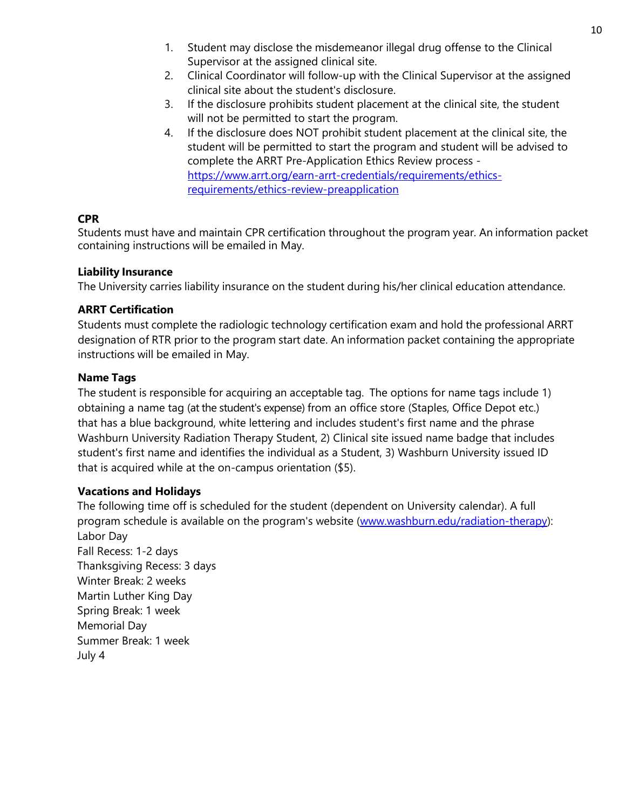- 1. Student may disclose the misdemeanor illegal drug offense to the Clinical Supervisor at the assigned clinical site.
- 2. Clinical Coordinator will follow-up with the Clinical Supervisor at the assigned clinical site about the student's disclosure.
- 3. If the disclosure prohibits student placement at the clinical site, the student will not be permitted to start the program.
- 4. If the disclosure does NOT prohibit student placement at the clinical site, the student will be permitted to start the program and student will be advised to complete the ARRT Pre-Application Ethics Review process [https://www.arrt.org/earn-arrt-credentials/requirements/ethics](https://www.arrt.org/earn-arrt-credentials/requirements/ethics-requirements/ethics-review-preapplication)[requirements/ethics-review-preapplication](https://www.arrt.org/earn-arrt-credentials/requirements/ethics-requirements/ethics-review-preapplication)

## **CPR**

Students must have and maintain CPR certification throughout the program year. An information packet containing instructions will be emailed in May.

### **Liability Insurance**

The University carries liability insurance on the student during his/her clinical education attendance.

## **ARRT Certification**

Students must complete the radiologic technology certification exam and hold the professional ARRT designation of RTR prior to the program start date. An information packet containing the appropriate instructions will be emailed in May.

## **Name Tags**

The student is responsible for acquiring an acceptable tag. The options for name tags include 1) obtaining a name tag (at the student's expense) from an office store (Staples, Office Depot etc.) that has a blue background, white lettering and includes student's first name and the phrase Washburn University Radiation Therapy Student, 2) Clinical site issued name badge that includes student's first name and identifies the individual as a Student, 3) Washburn University issued ID that is acquired while at the on-campus orientation (\$5).

### **Vacations and Holidays**

The following time off is scheduled for the student (dependent on University calendar). A full program schedule is available on the program's website [\(www.washburn.edu/radiation-therapy\)](http://www.washburn.edu/radiation-therapy): Labor Day Fall Recess: 1-2 days Thanksgiving Recess: 3 days Winter Break: 2 weeks Martin Luther King Day Spring Break: 1 week Memorial Day Summer Break: 1 week July 4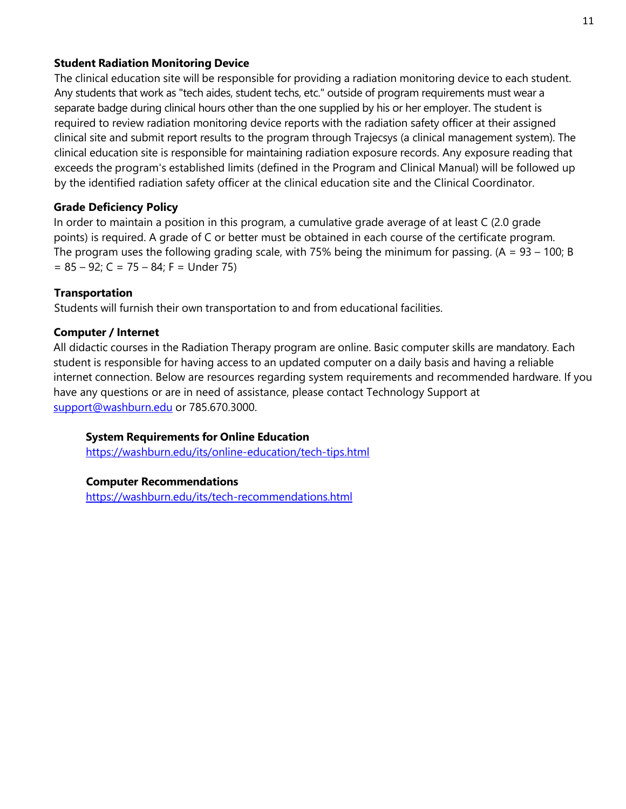#### **Student Radiation Monitoring Device**

The clinical education site will be responsible for providing a radiation monitoring device to each student. Any students that work as "tech aides, student techs, etc." outside of program requirements must wear a separate badge during clinical hours other than the one supplied by his or her employer. The student is required to review radiation monitoring device reports with the radiation safety officer at their assigned clinical site and submit report results to the program through Trajecsys (a clinical management system). The clinical education site is responsible for maintaining radiation exposure records. Any exposure reading that exceeds the program's established limits (defined in the Program and Clinical Manual) will be followed up by the identified radiation safety officer at the clinical education site and the Clinical Coordinator.

### **Grade Deficiency Policy**

In order to maintain a position in this program, a cumulative grade average of at least C (2.0 grade points) is required. A grade of C or better must be obtained in each course of the certificate program. The program uses the following grading scale, with 75% being the minimum for passing.  $(A = 93 - 100; B)$  $= 85 - 92$ ; C = 75 – 84; F = Under 75)

### **Transportation**

Students will furnish their own transportation to and from educational facilities.

#### **Computer / Internet**

All didactic courses in the Radiation Therapy program are online. Basic computer skills are mandatory. Each student is responsible for having access to an updated computer on a daily basis and having a reliable internet connection. Below are resources regarding system requirements and recommended hardware. If you have any questions or are in need of assistance, please contact Technology Support at [support@washburn.edu](mailto:support@washburn.edu) or 785.670.3000.

### **System Requirements for Online Education**

<https://washburn.edu/its/online-education/tech-tips.html>

#### **Computer Recommendations**

<https://washburn.edu/its/tech-recommendations.html>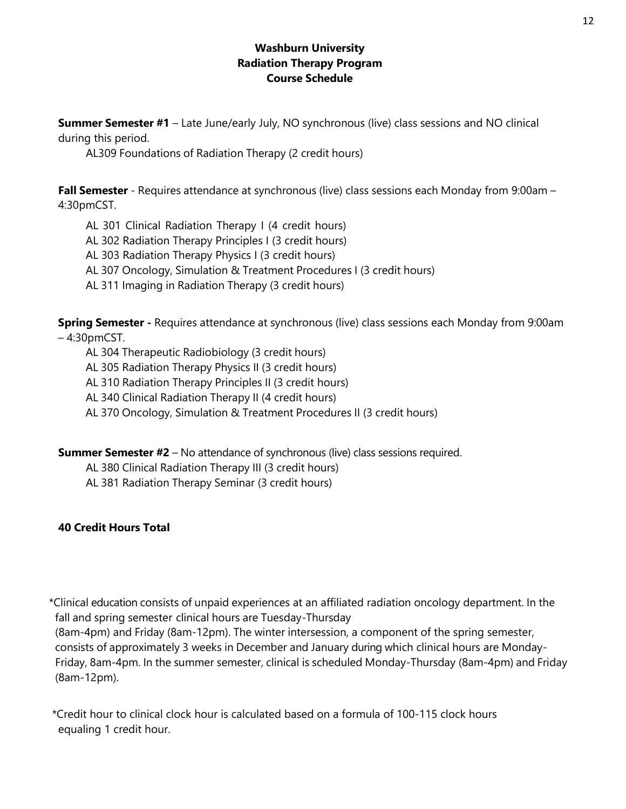### **Washburn University Radiation Therapy Program Course Schedule**

**Summer Semester #1** – Late June/early July, NO synchronous (live) class sessions and NO clinical during this period.

AL309 Foundations of Radiation Therapy (2 credit hours)

**Fall Semester** - Requires attendance at synchronous (live) class sessions each Monday from 9:00am – 4:30pmCST.

AL 301 Clinical Radiation Therapy I (4 credit hours)

AL 302 Radiation Therapy Principles I (3 credit hours)

AL 303 Radiation Therapy Physics I (3 credit hours)

AL 307 Oncology, Simulation & Treatment Procedures I (3 credit hours)

AL 311 Imaging in Radiation Therapy (3 credit hours)

**Spring Semester -** Requires attendance at synchronous (live) class sessions each Monday from 9:00am – 4:30pmCST.

AL 304 Therapeutic Radiobiology (3 credit hours)

AL 305 Radiation Therapy Physics II (3 credit hours)

AL 310 Radiation Therapy Principles II (3 credit hours)

AL 340 Clinical Radiation Therapy II (4 credit hours)

AL 370 Oncology, Simulation & Treatment Procedures II (3 credit hours)

**Summer Semester #2** – No attendance of synchronous (live) class sessions required.

AL 380 Clinical Radiation Therapy III (3 credit hours)

AL 381 Radiation Therapy Seminar (3 credit hours)

# **40 Credit Hours Total**

\*Clinical education consists of unpaid experiences at an affiliated radiation oncology department. In the fall and spring semester clinical hours are Tuesday-Thursday

(8am-4pm) and Friday (8am-12pm). The winter intersession, a component of the spring semester, consists of approximately 3 weeks in December and January during which clinical hours are Monday-Friday, 8am-4pm. In the summer semester, clinical is scheduled Monday-Thursday (8am-4pm) and Friday (8am-12pm).

\*Credit hour to clinical clock hour is calculated based on a formula of 100-115 clock hours equaling 1 credit hour.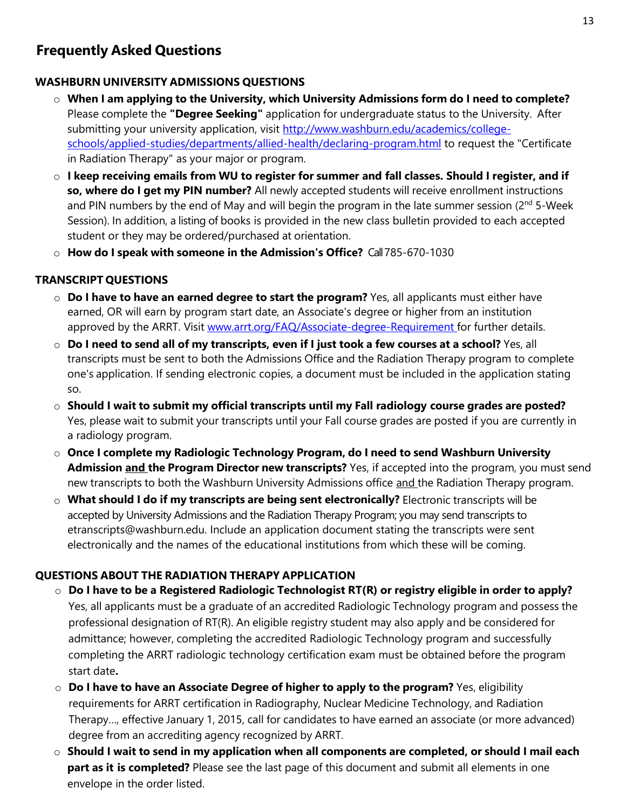# **Frequently Asked Questions**

### **WASHBURN UNIVERSITY ADMISSIONS QUESTIONS**

- o **When I am applying to the University, which University Admissions form do I need to complete?** Please complete the **"Degree Seeking"** application for undergraduate status to the University. After submitting your university application, visit [http://www.washburn.edu/academics/college](http://www.washburn.edu/academics/college-schools/applied-studies/departments/allied-health/declaring-program.html)[schools/applied-studies/departments/allied-health/declaring-program.html](http://www.washburn.edu/academics/college-schools/applied-studies/departments/allied-health/declaring-program.html) to request the "Certificate in Radiation Therapy" as your major or program.
- o **I keep receiving emails from WU to register for summer and fall classes. Should I register, and if so, where do I get my PIN number?** All newly accepted students will receive enrollment instructions and PIN numbers by the end of May and will begin the program in the late summer session ( $2<sup>nd</sup>$  5-Week Session). In addition, a listing of books is provided in the new class bulletin provided to each accepted student or they may be ordered/purchased at orientation.
- o **How do I speak with someone in the Admission's Office?** Call 785-670-1030

## **TRANSCRIPT QUESTIONS**

- o **Do I have to have an earned degree to start the program?** Yes, all applicants must either have earned, OR will earn by program start date, an Associate's degree or higher from an institution approved by the ARRT. Visit [www.arrt.org/FAQ/Associate-degree-Requirement](http://www.arrt.org/FAQ/Associate-degree-Requirement) for further details.
- $\circ$  Do I need to send all of my transcripts, even if I just took a few courses at a school? Yes, all transcripts must be sent to both the Admissions Office and the Radiation Therapy program to complete one's application. If sending electronic copies, a document must be included in the application stating so.
- o **Should I wait to submit my official transcripts until my Fall radiology course grades are posted?** Yes, please wait to submit your transcripts until your Fall course grades are posted if you are currently in a radiology program.
- o **Once I complete my Radiologic Technology Program, do I need to send Washburn University Admission and the Program Director new transcripts?** Yes, if accepted into the program, you must send new transcripts to both the Washburn University Admissions office and the Radiation Therapy program.
- o **What should I do if my transcripts are being sent electronically?** Electronic transcripts will be accepted by University Admissions and the Radiation Therapy Program; you may send transcripts to [etranscripts@washburn.edu.](mailto:etranscripts@washburn.edu) Include an application document stating the transcripts were sent electronically and the names of the educational institutions from which these will be coming.

# **QUESTIONS ABOUT THE RADIATION THERAPY APPLICATION**

- o **Do I have to be a Registered Radiologic Technologist RT(R) or registry eligible in order to apply?** Yes, all applicants must be a graduate of an accredited Radiologic Technology program and possess the professional designation of RT(R). An eligible registry student may also apply and be considered for admittance; however, completing the accredited Radiologic Technology program and successfully completing the ARRT radiologic technology certification exam must be obtained before the program start date**.**
- o **Do I have to have an Associate Degree of higher to apply to the program?** Yes, eligibility requirements for ARRT certification in Radiography, Nuclear Medicine Technology, and Radiation Therapy…, effective January 1, 2015, call for candidates to have earned an associate (or more advanced) degree from an accrediting agency recognized by ARRT.
- o **Should I wait to send in my application when all components are completed, or should I mail each part as it is completed?** Please see the last page of this document and submit all elements in one envelope in the order listed.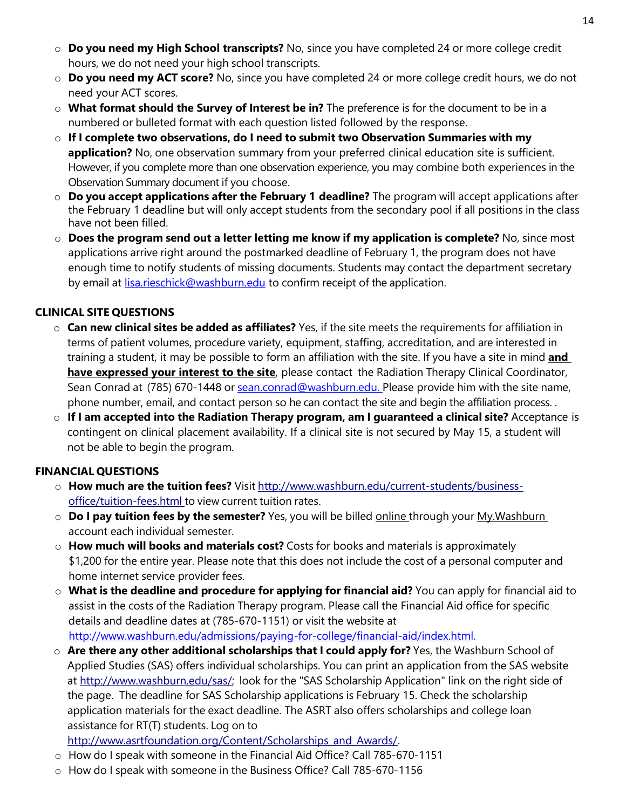- o **Do you need my High School transcripts?** No, since you have completed 24 or more college credit hours, we do not need your high school transcripts.
- o **Do you need my ACT score?** No, since you have completed 24 or more college credit hours, we do not need your ACT scores.
- o **What format should the Survey of Interest be in?** The preference is for the document to be in a numbered or bulleted format with each question listed followed by the response.
- o **If I complete two observations, do I need to submit two Observation Summaries with my application?** No, one observation summary from your preferred clinical education site is sufficient. However, if you complete more than one observation experience, you may combine both experiences in the Observation Summary document if you choose.
- o **Do you accept applications after the February 1 deadline?** The program will accept applications after the February 1 deadline but will only accept students from the secondary pool if all positions in the class have not been filled.
- o **Does the program send out a letter letting me know if my application is complete?** No, since most applications arrive right around the postmarked deadline of February 1, the program does not have enough time to notify students of missing documents. Students may contact the department secretary by email at [lisa.rieschick@washburn.edu](mailto:lisa.rieschick@washburn.edu) to confirm receipt of the application.

## **CLINICAL SITE QUESTIONS**

- o **Can new clinical sites be added as affiliates?** Yes, if the site meets the requirements for affiliation in terms of patient volumes, procedure variety, equipment, staffing, accreditation, and are interested in training a student, it may be possible to form an affiliation with the site. If you have a site in mind **and have expressed your interest to the site**, please contact the Radiation Therapy Clinical Coordinator, Sean Conrad at (785) 670-1448 or [sean.conrad@washburn.edu.](mailto:sean.conrad@washburn.edu.) Please provide him with the site name, phone number, email, and contact person so he can contact the site and begin the affiliation process. .
- o **If I am accepted into the Radiation Therapy program, am I guaranteed a clinical site?** Acceptance is contingent on clinical placement availability. If a clinical site is not secured by May 15, a student will not be able to begin the program.

# **FINANCIAL QUESTIONS**

- o **How much are the tuition fees?** Visit [http://www.washburn.edu/current-students/business](http://www.washburn.edu/current-students/business-office/tuition-fees.html)[office/tuition-fees.html](http://www.washburn.edu/current-students/business-office/tuition-fees.html) to view current tuition rates.
- o **Do I pay tuition fees by the semester?** Yes, you will be billed online through your My.Washburn account each individual semester.
- o **How much will books and materials cost?** Costs for books and materials is approximately \$1,200 for the entire year. Please note that this does not include the cost of a personal computer and home internet service provider fees.
- o **What is the deadline and procedure for applying for financial aid?** You can apply for financial aid to assist in the costs of the Radiation Therapy program. Please call the Financial Aid office for specific details and deadline dates at (785-670-1151) or visit the website at [http://www.washburn.edu/admissions/paying-for-college/financial-aid/index.html.](http://www.washburn.edu/admissions/paying-for-college/financial-aid/index.html)
- o **Are there any other additional scholarships that I could apply for?** Yes, the Washburn School of Applied Studies (SAS) offers individual scholarships. You can print an application from the SAS website at [http://www.washburn.edu/sas/;](http://www.washburn.edu/sas/) look for the "SAS Scholarship Application" link on the right side of the page. The deadline for SAS Scholarship applications is February 15. Check the scholarship application materials for the exact deadline. The ASRT also offers scholarships and college loan assistance for RT(T) students. Log on to
- [http://www.asrtfoundation.org/Content/Scholarships\\_and\\_Awards/.](http://www.asrtfoundation.org/Content/Scholarships_and_Awards/)
- o How do I speak with someone in the Financial Aid Office? Call 785-670-1151
- o How do I speak with someone in the Business Office? Call 785-670-1156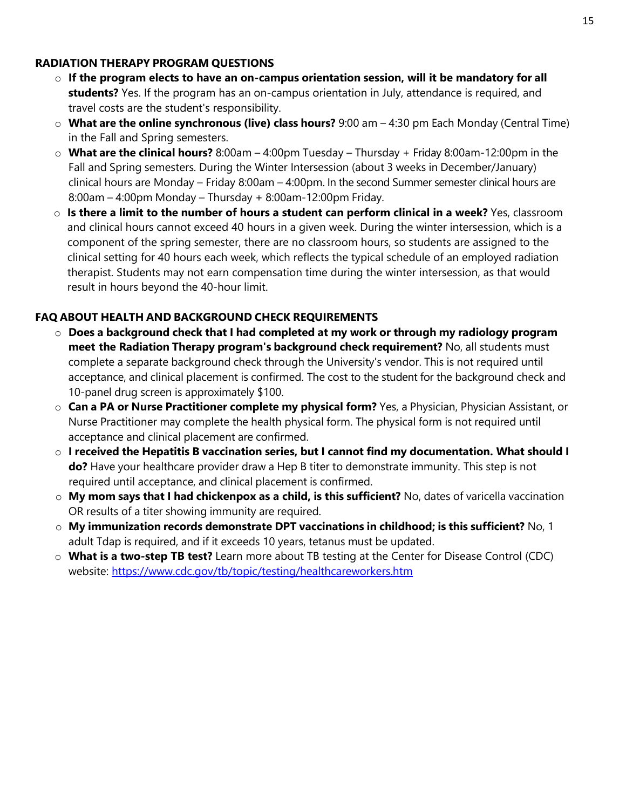### **RADIATION THERAPY PROGRAM QUESTIONS**

- o **If the program elects to have an on-campus orientation session, will it be mandatory for all students?** Yes. If the program has an on-campus orientation in July, attendance is required, and travel costs are the student's responsibility.
- o **What are the online synchronous (live) class hours?** 9:00 am 4:30 pm Each Monday (Central Time) in the Fall and Spring semesters.
- o **What are the clinical hours?** 8:00am 4:00pm Tuesday Thursday + Friday 8:00am-12:00pm in the Fall and Spring semesters. During the Winter Intersession (about 3 weeks in December/January) clinical hours are Monday – Friday 8:00am – 4:00pm. In the second Summer semester clinical hours are 8:00am – 4:00pm Monday – Thursday + 8:00am-12:00pm Friday.
- o **Is there a limit to the number of hours a student can perform clinical in a week?** Yes, classroom and clinical hours cannot exceed 40 hours in a given week. During the winter intersession, which is a component of the spring semester, there are no classroom hours, so students are assigned to the clinical setting for 40 hours each week, which reflects the typical schedule of an employed radiation therapist. Students may not earn compensation time during the winter intersession, as that would result in hours beyond the 40-hour limit.

# **FAQ ABOUT HEALTH AND BACKGROUND CHECK REQUIREMENTS**

- o **Does a background check that I had completed at my work or through my radiology program meet the Radiation Therapy program's background check requirement?** No, all students must complete a separate background check through the University's vendor. This is not required until acceptance, and clinical placement is confirmed. The cost to the student for the background check and 10-panel drug screen is approximately \$100.
- o **Can a PA or Nurse Practitioner complete my physical form?** Yes, a Physician, Physician Assistant, or Nurse Practitioner may complete the health physical form. The physical form is not required until acceptance and clinical placement are confirmed.
- o **I received the Hepatitis B vaccination series, but I cannot find my documentation. What should I do?** Have your healthcare provider draw a Hep B titer to demonstrate immunity. This step is not required until acceptance, and clinical placement is confirmed.
- o **My mom says that I had chickenpox as a child, is this sufficient?** No, dates of varicella vaccination OR results of a titer showing immunity are required.
- o **My immunization records demonstrate DPT vaccinations in childhood; is this sufficient?** No, 1 adult Tdap is required, and if it exceeds 10 years, tetanus must be updated.
- o **What is a two-step TB test?** Learn more about TB testing at the Center for Disease Control (CDC) website:<https://www.cdc.gov/tb/topic/testing/healthcareworkers.htm>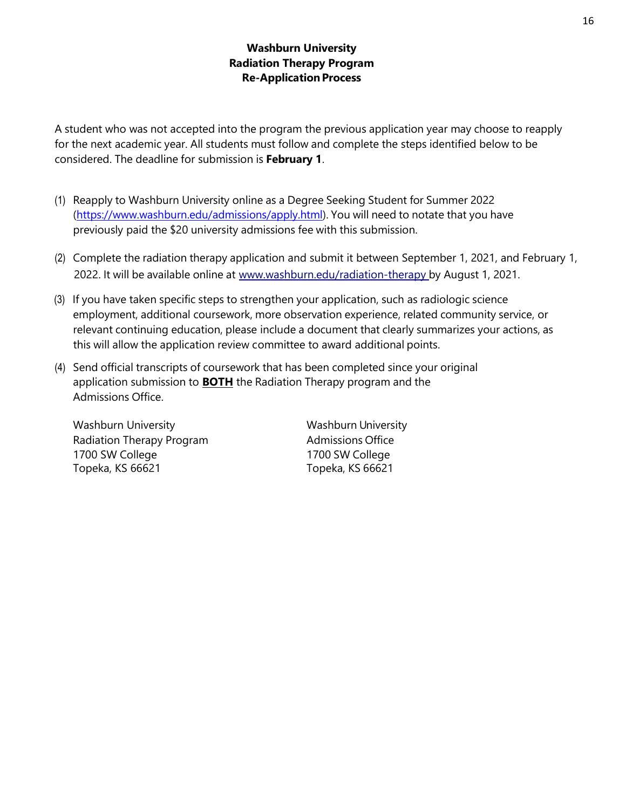## **Washburn University Radiation Therapy Program Re-Application Process**

A student who was not accepted into the program the previous application year may choose to reapply for the next academic year. All students must follow and complete the steps identified below to be considered. The deadline for submission is **February 1**.

- (1) Reapply to Washburn University online as a Degree Seeking Student for Summer 2022 [\(https://www.washburn.edu/admissions/apply.html\)](https://www.washburn.edu/admissions/apply.html). You will need to notate that you have previously paid the \$20 university admissions fee with this submission.
- (2) Complete the radiation therapy application and submit it between September 1, 2021, and February 1, 2022. It will be available online at [www.washburn.edu/radiation-th](http://www.washburn.edu/radiation-therapy)erapy by August 1, 2021.
- (3) If you have taken specific steps to strengthen your application, such as radiologic science employment, additional coursework, more observation experience, related community service, or relevant continuing education, please include a document that clearly summarizes your actions, as this will allow the application review committee to award additional points.
- (4) Send official transcripts of coursework that has been completed since your original application submission to **BOTH** the Radiation Therapy program and the Admissions Office.

Washburn University **Washburn University** Radiation Therapy Program **Admissions Office** 1700 SW College 1700 SW College Topeka, KS 66621 Topeka, KS 66621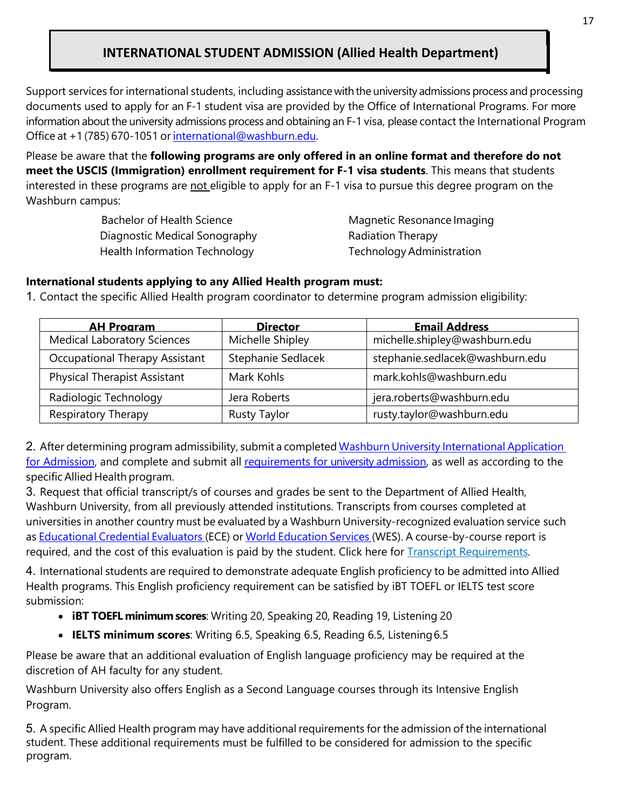# **INTERNATIONAL STUDENT ADMISSION (Allied Health Department)**

Support services for international students, including assistance with the university admissions process and processing documents used to apply for an F-1 student visa are provided by the Office of International Programs. For more information about the university admissions process and obtaining an F-1 visa, please contact the International Program Office at +1 (785) 670-1051 or [international@washburn.edu.](mailto:international@washburn.edu)

Please be aware that the **following programs are only offered in an online format and therefore do not meet the USCIS (Immigration) enrollment requirement for F-1 visa students**. This means that students interested in these programs are not eligible to apply for an F-1 visa to pursue this degree program on the Washburn campus:

> Bachelor of Health Science Magnetic Resonance Imaging Diagnostic Medical Sonography **Radiation Therapy** Health Information Technology **Technology Administration**

#### **International students applying to any Allied Health program must:**

1. Contact the specific Allied Health program coordinator to determine program admission eligibility:

| <b>AH Program</b>                     | <b>Director</b>     | <b>Email Address</b>            |
|---------------------------------------|---------------------|---------------------------------|
| <b>Medical Laboratory Sciences</b>    | Michelle Shipley    | michelle.shipley@washburn.edu   |
| <b>Occupational Therapy Assistant</b> | Stephanie Sedlacek  | stephanie.sedlacek@washburn.edu |
| <b>Physical Therapist Assistant</b>   | Mark Kohls          | mark.kohls@washburn.edu         |
| Radiologic Technology                 | Jera Roberts        | jera.roberts@washburn.edu       |
| <b>Respiratory Therapy</b>            | <b>Rusty Taylor</b> | rusty.taylor@washburn.edu       |

2. After determining program admissibility, submit a completed Washburn University International Application for Admission, and complete and submit all requirements for university admission, as well as according to the specificAllied Health program.

3. Request that official transcript/s of courses and grades be sent to the Department of Allied Health, Washburn University, from all previously attended institutions. Transcripts from courses completed at universities in another country must be evaluated by a Washburn University-recognized evaluation service such as Educational Credential Evaluators (ECE) or World Education Services (WES). A course-by-course report is required, and the cost of this evaluation is paid by the student. Click here for Transcript Requirements.

4. International students are required to demonstrate adequate English proficiency to be admitted into Allied Health programs. This English proficiency requirement can be satisfied by iBT TOEFL or IELTS test score submission:

- **iBT TOEFL minimum scores**: Writing 20, Speaking 20, Reading 19, Listening 20
- **IELTS minimum scores**: Writing 6.5, Speaking 6.5, Reading 6.5, Listening6.5

Please be aware that an additional evaluation of English language proficiency may be required at the discretion of AH faculty for any student.

Washburn University also offers English as a Second Language courses through its Intensive English Program.

5. A specific Allied Health program may have additional requirements for the admission of the international student. These additional requirements must be fulfilled to be considered for admission to the specific program.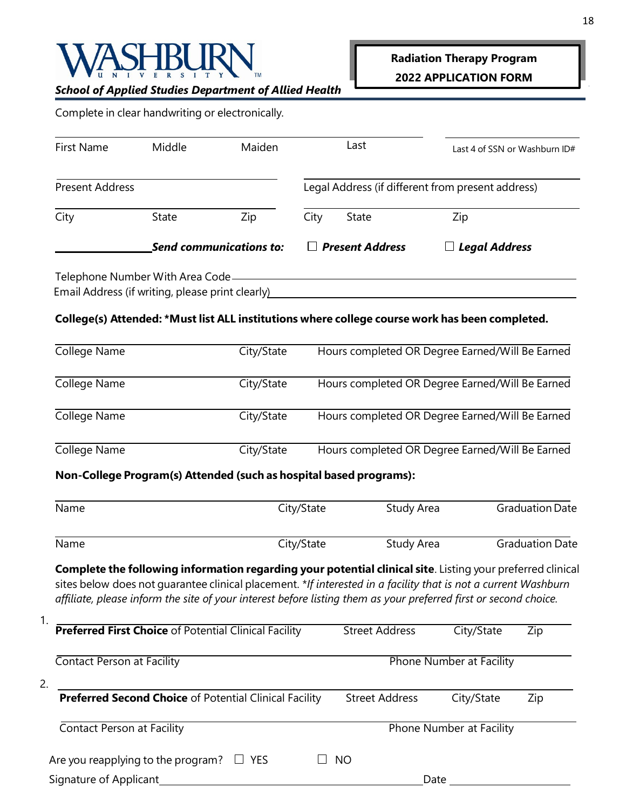

# *School of Applied Studies Department of Allied Health*

|  |  | Complete in clear handwriting or electronically. |
|--|--|--------------------------------------------------|
|  |  |                                                  |

| <b>First Name</b>      | Middle                                                                               | Maiden                         |      | Last                   | Last 4 of SSN or Washburn ID#                     |
|------------------------|--------------------------------------------------------------------------------------|--------------------------------|------|------------------------|---------------------------------------------------|
| <b>Present Address</b> |                                                                                      |                                |      |                        | Legal Address (if different from present address) |
| City                   | State                                                                                | Zip                            | City | State                  | Zip                                               |
|                        |                                                                                      | <b>Send communications to:</b> |      | $\Box$ Present Address | $\Box$ Legal Address                              |
|                        | Telephone Number With Area Code-<br>Email Address (if writing, please print clearly) |                                |      |                        |                                                   |

## **College(s) Attended: \*Must list ALL institutions where college course work has been completed.**

| College Name | City/State | Hours completed OR Degree Earned/Will Be Earned |
|--------------|------------|-------------------------------------------------|
| College Name | City/State | Hours completed OR Degree Earned/Will Be Earned |
| College Name | City/State | Hours completed OR Degree Earned/Will Be Earned |
| College Name | City/State | Hours completed OR Degree Earned/Will Be Earned |

# **Non-College Program(s) Attended (such as hospital based programs):**

| Name                                                                                                                                                                                                                                                                                                                                             | City/State              | Study Area            |                          | <b>Graduation Date</b> |
|--------------------------------------------------------------------------------------------------------------------------------------------------------------------------------------------------------------------------------------------------------------------------------------------------------------------------------------------------|-------------------------|-----------------------|--------------------------|------------------------|
| Name                                                                                                                                                                                                                                                                                                                                             | City/State              | Study Area            |                          | <b>Graduation Date</b> |
| Complete the following information regarding your potential clinical site. Listing your preferred clinical<br>sites below does not guarantee clinical placement. *If interested in a facility that is not a current Washburn<br>affiliate, please inform the site of your interest before listing them as your preferred first or second choice. |                         |                       |                          |                        |
| <b>Preferred First Choice of Potential Clinical Facility</b>                                                                                                                                                                                                                                                                                     |                         | <b>Street Address</b> | City/State               | Zip                    |
| Contact Person at Facility                                                                                                                                                                                                                                                                                                                       |                         |                       | Phone Number at Facility |                        |
| 2.<br><b>Preferred Second Choice of Potential Clinical Facility</b>                                                                                                                                                                                                                                                                              |                         | <b>Street Address</b> | City/State               | Zip                    |
| Contact Person at Facility                                                                                                                                                                                                                                                                                                                       |                         |                       | Phone Number at Facility |                        |
| Are you reapplying to the program?                                                                                                                                                                                                                                                                                                               | $\Box$ YES<br><b>NO</b> |                       |                          |                        |
| Signature of Applicant                                                                                                                                                                                                                                                                                                                           |                         | Date                  |                          |                        |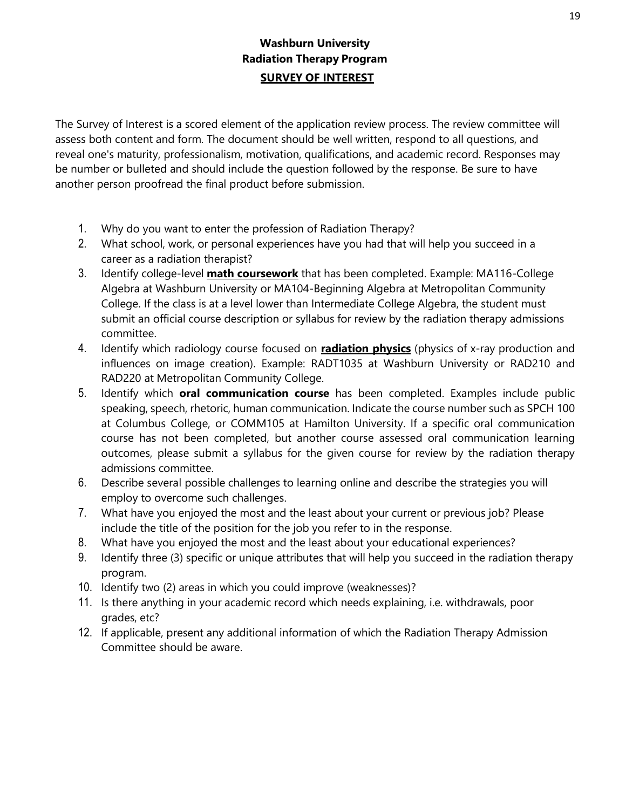# **Washburn University Radiation Therapy Program SURVEY OF INTEREST**

The Survey of Interest is a scored element of the application review process. The review committee will assess both content and form. The document should be well written, respond to all questions, and reveal one's maturity, professionalism, motivation, qualifications, and academic record. Responses may be number or bulleted and should include the question followed by the response. Be sure to have another person proofread the final product before submission.

- 1. Why do you want to enter the profession of Radiation Therapy?
- 2. What school, work, or personal experiences have you had that will help you succeed in a career as a radiation therapist?
- 3. Identify college-level **math coursework** that has been completed. Example: MA116-College Algebra at Washburn University or MA104-Beginning Algebra at Metropolitan Community College. If the class is at a level lower than Intermediate College Algebra, the student must submit an official course description or syllabus for review by the radiation therapy admissions committee.
- 4. Identify which radiology course focused on **radiation physics** (physics of x-ray production and influences on image creation). Example: RADT1035 at Washburn University or RAD210 and RAD220 at Metropolitan Community College.
- 5. Identify which **oral communication course** has been completed. Examples include public speaking, speech, rhetoric, human communication. Indicate the course number such as SPCH 100 at Columbus College, or COMM105 at Hamilton University. If a specific oral communication course has not been completed, but another course assessed oral communication learning outcomes, please submit a syllabus for the given course for review by the radiation therapy admissions committee.
- 6. Describe several possible challenges to learning online and describe the strategies you will employ to overcome such challenges.
- 7. What have you enjoyed the most and the least about your current or previous job? Please include the title of the position for the job you refer to in the response.
- 8. What have you enjoyed the most and the least about your educational experiences?
- 9. Identify three (3) specific or unique attributes that will help you succeed in the radiation therapy program.
- 10. Identify two (2) areas in which you could improve (weaknesses)?
- 11. Is there anything in your academic record which needs explaining, i.e. withdrawals, poor grades, etc?
- 12. If applicable, present any additional information of which the Radiation Therapy Admission Committee should be aware.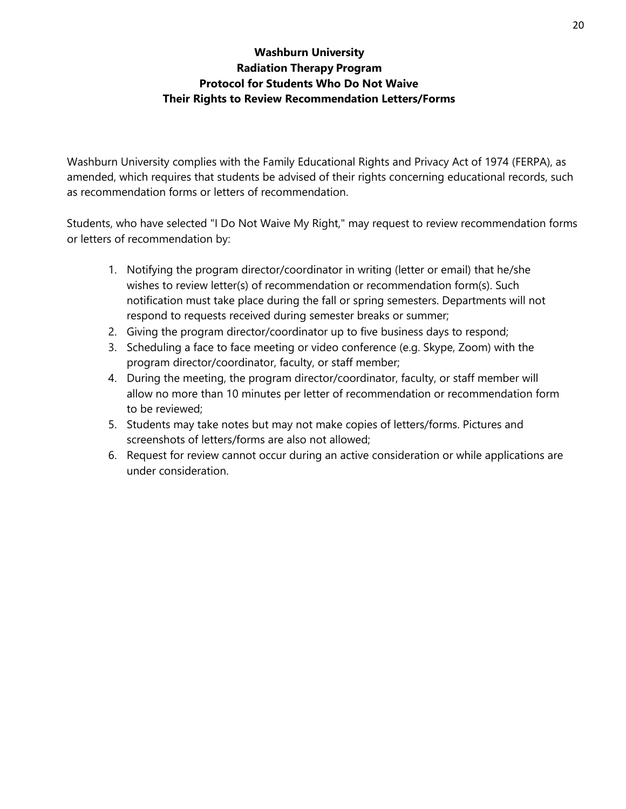# **Washburn University Radiation Therapy Program Protocol for Students Who Do Not Waive Their Rights to Review Recommendation Letters/Forms**

Washburn University complies with the Family Educational Rights and Privacy Act of 1974 (FERPA), as amended, which requires that students be advised of their rights concerning educational records, such as recommendation forms or letters of recommendation.

Students, who have selected "I Do Not Waive My Right," may request to review recommendation forms or letters of recommendation by:

- 1. Notifying the program director/coordinator in writing (letter or email) that he/she wishes to review letter(s) of recommendation or recommendation form(s). Such notification must take place during the fall or spring semesters. Departments will not respond to requests received during semester breaks or summer;
- 2. Giving the program director/coordinator up to five business days to respond;
- 3. Scheduling a face to face meeting or video conference (e.g. Skype, Zoom) with the program director/coordinator, faculty, or staff member;
- 4. During the meeting, the program director/coordinator, faculty, or staff member will allow no more than 10 minutes per letter of recommendation or recommendation form to be reviewed;
- 5. Students may take notes but may not make copies of letters/forms. Pictures and screenshots of letters/forms are also not allowed;
- 6. Request for review cannot occur during an active consideration or while applications are under consideration.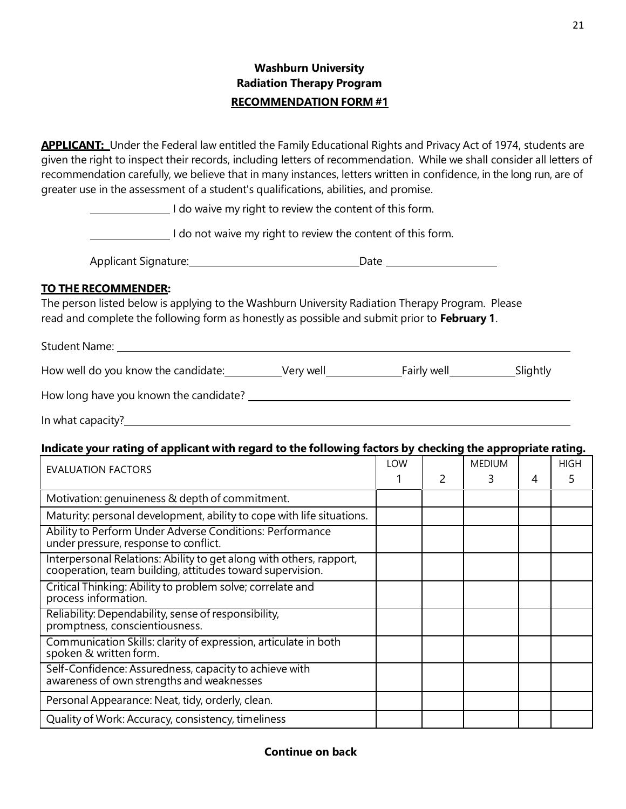# **Washburn University Radiation Therapy Program RECOMMENDATION FORM #1**

**APPLICANT:** Under the Federal law entitled the Family Educational Rights and Privacy Act of 1974, students are given the right to inspect their records, including letters of recommendation. While we shall consider all letters of recommendation carefully, we believe that in many instances, letters written in confidence, in the long run, are of greater use in the assessment of a student's qualifications, abilities, and promise.

I do waive my right to review the content of this form.

I do not waive my right to review the content of this form.

| <b>Applicant Signature:</b><br>Date |
|-------------------------------------|
|-------------------------------------|

#### **TO THE RECOMMENDER:**

The person listed below is applying to the Washburn University Radiation Therapy Program. Please read and complete the following form as honestly as possible and submit prior to **February 1**.

Student Name:

| How well do you know the candidate: | Verv well | Fairly well | slightly |
|-------------------------------------|-----------|-------------|----------|
|-------------------------------------|-----------|-------------|----------|

|  |  | How long have you known the candidate? |
|--|--|----------------------------------------|
|  |  |                                        |

In what capacity?

# **Indicate your rating of applicant with regard to the following factors by checking the appropriate rating.**

| <b>EVALUATION FACTORS</b>                                                                                                        |  | <b>MEDIUM</b> |   | <b>HIGH</b> |
|----------------------------------------------------------------------------------------------------------------------------------|--|---------------|---|-------------|
|                                                                                                                                  |  |               | 4 |             |
| Motivation: genuineness & depth of commitment.                                                                                   |  |               |   |             |
| Maturity: personal development, ability to cope with life situations.                                                            |  |               |   |             |
| Ability to Perform Under Adverse Conditions: Performance<br>under pressure, response to conflict.                                |  |               |   |             |
| Interpersonal Relations: Ability to get along with others, rapport,<br>cooperation, team building, attitudes toward supervision. |  |               |   |             |
| Critical Thinking: Ability to problem solve; correlate and<br>process information.                                               |  |               |   |             |
| Reliability: Dependability, sense of responsibility,<br>promptness, conscientiousness.                                           |  |               |   |             |
| Communication Skills: clarity of expression, articulate in both<br>spoken & written form.                                        |  |               |   |             |
| Self-Confidence: Assuredness, capacity to achieve with<br>awareness of own strengths and weaknesses                              |  |               |   |             |
| Personal Appearance: Neat, tidy, orderly, clean.                                                                                 |  |               |   |             |
| Quality of Work: Accuracy, consistency, timeliness                                                                               |  |               |   |             |

#### **Continue on back**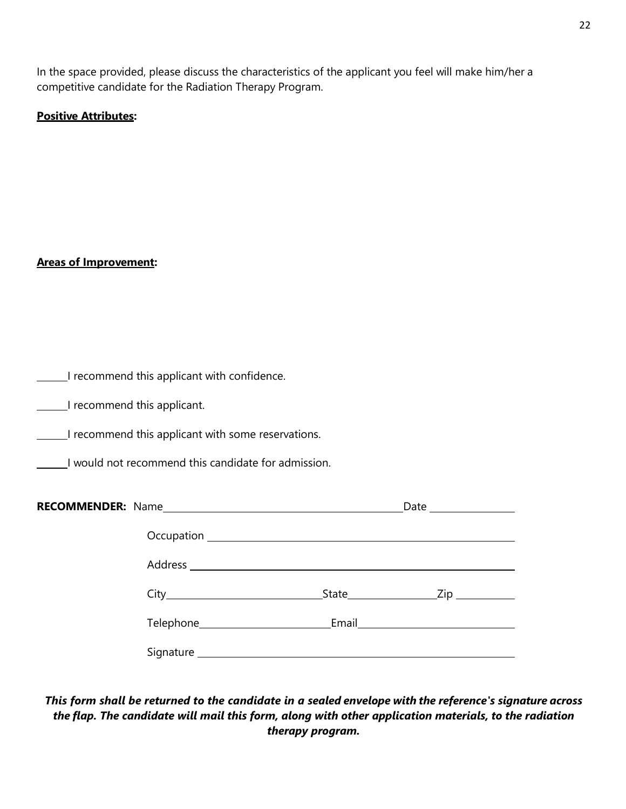In the space provided, please discuss the characteristics of the applicant you feel will make him/her a competitive candidate for the Radiation Therapy Program.

#### **Positive Attributes:**

#### **Areas of Improvement:**

| I recommend this applicant with confidence. |  |  |  |  |
|---------------------------------------------|--|--|--|--|
|---------------------------------------------|--|--|--|--|

**I recommend this applicant.** 

I recommend this applicant with some reservations.

I would not recommend this candidate for admission.

*This form shall be returned to the candidate in a sealed envelope with the reference's signature across the flap. The candidate will mail this form, along with other application materials, to the radiation therapy program.*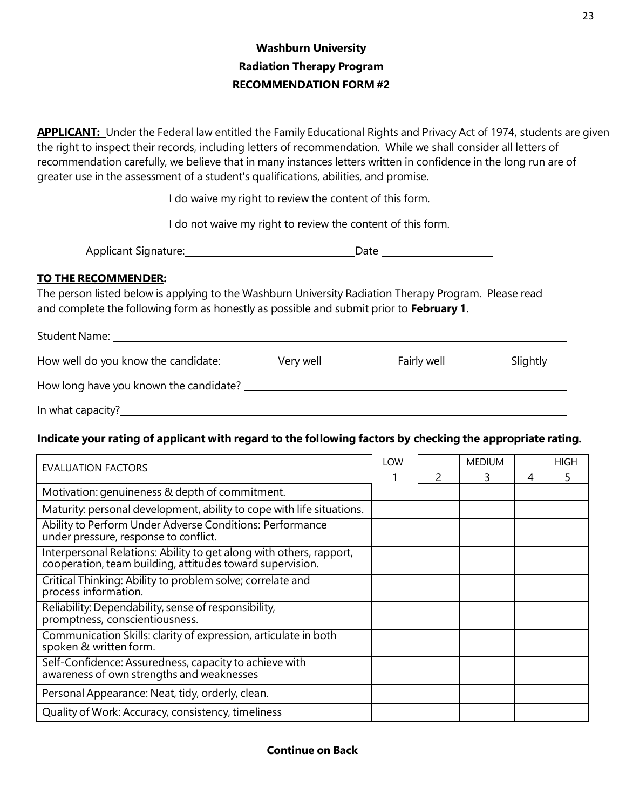# **Washburn University Radiation Therapy Program RECOMMENDATION FORM #2**

**APPLICANT:** Under the Federal law entitled the Family Educational Rights and Privacy Act of 1974, students are given the right to inspect their records, including letters of recommendation. While we shall consider all letters of recommendation carefully, we believe that in many instances letters written in confidence in the long run are of greater use in the assessment of a student's qualifications, abilities, and promise.

I do waive my right to review the content of this form.

I do not waive my right to review the content of this form.

Applicant Signature: Date

## **TO THE RECOMMENDER:**

The person listed below is applying to the Washburn University Radiation Therapy Program. Please read and complete the following form as honestly as possible and submit prior to **February 1**.

| <b>Student Name:</b>                   |           |             |          |
|----------------------------------------|-----------|-------------|----------|
| How well do you know the candidate:    | Very well | Fairly well | Slightly |
| How long have you known the candidate? |           |             |          |
| In what capacity?                      |           |             |          |

### **Indicate your rating of applicant with regard to the following factors by checking the appropriate rating.**

| <b>EVALUATION FACTORS</b>                                                                                                     | <b>LOW</b> | <b>MEDIUM</b> |   | <b>HIGH</b> |
|-------------------------------------------------------------------------------------------------------------------------------|------------|---------------|---|-------------|
|                                                                                                                               |            |               | 4 |             |
| Motivation: genuineness & depth of commitment.                                                                                |            |               |   |             |
| Maturity: personal development, ability to cope with life situations.                                                         |            |               |   |             |
| Ability to Perform Under Adverse Conditions: Performance<br>under pressure, response to conflict.                             |            |               |   |             |
| Interpersonal Relations: Ability to get along with others, rapport, cooperation, team building, attitudes toward supervision. |            |               |   |             |
| Critical Thinking: Ability to problem solve; correlate and<br>process information.                                            |            |               |   |             |
| Reliability: Dependability, sense of responsibility,<br>promptness, conscientiousness.                                        |            |               |   |             |
| Communication Skills: clarity of expression, articulate in both<br>spoken & written form.                                     |            |               |   |             |
| Self-Confidence: Assuredness, capacity to achieve with<br>awareness of own strengths and weaknesses                           |            |               |   |             |
| Personal Appearance: Neat, tidy, orderly, clean.                                                                              |            |               |   |             |
| Quality of Work: Accuracy, consistency, timeliness                                                                            |            |               |   |             |

#### **Continue on Back**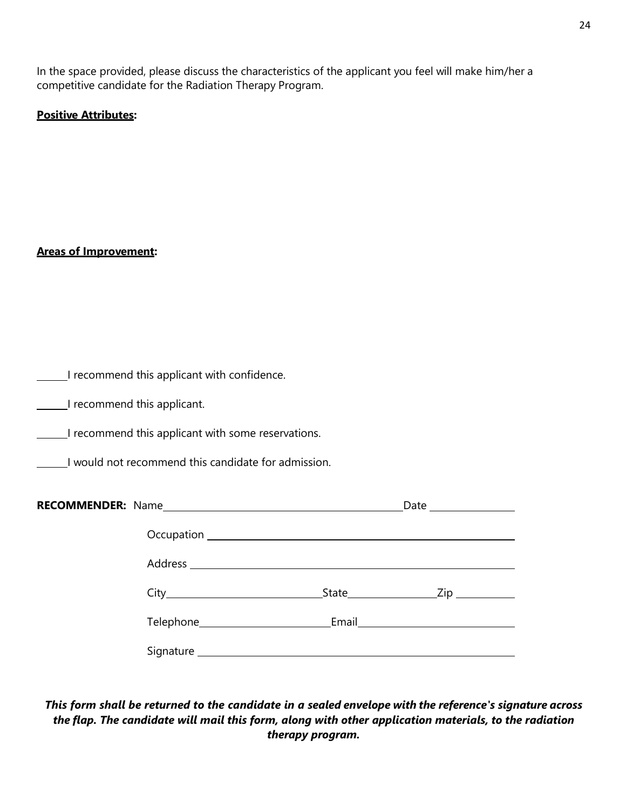In the space provided, please discuss the characteristics of the applicant you feel will make him/her a competitive candidate for the Radiation Therapy Program.

#### **Positive Attributes:**

#### **Areas of Improvement:**

| I recommend this applicant with confidence. |  |  |  |  |
|---------------------------------------------|--|--|--|--|
|---------------------------------------------|--|--|--|--|

**I recommend this applicant.** 

I recommend this applicant with some reservations.

I would not recommend this candidate for admission.

| RECOMMENDER: Name |  |
|-------------------|--|
|                   |  |
|                   |  |
|                   |  |
|                   |  |
|                   |  |

*This form shall be returned to the candidate in a sealed envelope with the reference's signature across the flap. The candidate will mail this form, along with other application materials, to the radiation therapy program.*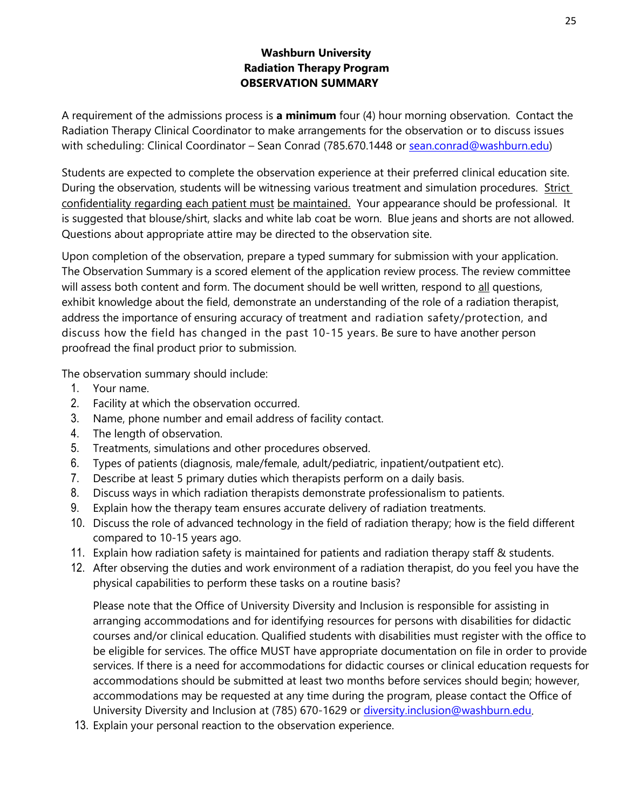## **Washburn University Radiation Therapy Program OBSERVATION SUMMARY**

A requirement of the admissions process is **a minimum** four (4) hour morning observation. Contact the Radiation Therapy Clinical Coordinator to make arrangements for the observation or to discuss issues with scheduling: Clinical Coordinator - Sean Conrad (785.670.1448 or [sean.conrad@washburn.edu\)](file://wushare.wuad.washburn.edu/WU/AlliedHealth/Marie)

Students are expected to complete the observation experience at their preferred clinical education site. During the observation, students will be witnessing various treatment and simulation procedures. Strict confidentiality regarding each patient must be maintained. Your appearance should be professional. It is suggested that blouse/shirt, slacks and white lab coat be worn. Blue jeans and shorts are not allowed. Questions about appropriate attire may be directed to the observation site.

Upon completion of the observation, prepare a typed summary for submission with your application. The Observation Summary is a scored element of the application review process. The review committee will assess both content and form. The document should be well written, respond to all questions, exhibit knowledge about the field, demonstrate an understanding of the role of a radiation therapist, address the importance of ensuring accuracy of treatment and radiation safety/protection, and discuss how the field has changed in the past 10-15 years. Be sure to have another person proofread the final product prior to submission.

The observation summary should include:

- 1. Your name.
- 2. Facility at which the observation occurred.
- 3. Name, phone number and email address of facility contact.
- 4. The length of observation.
- 5. Treatments, simulations and other procedures observed.
- 6. Types of patients (diagnosis, male/female, adult/pediatric, inpatient/outpatient etc).
- 7. Describe at least 5 primary duties which therapists perform on a daily basis.
- 8. Discuss ways in which radiation therapists demonstrate professionalism to patients.
- 9. Explain how the therapy team ensures accurate delivery of radiation treatments.
- 10. Discuss the role of advanced technology in the field of radiation therapy; how is the field different compared to 10-15 years ago.
- 11. Explain how radiation safety is maintained for patients and radiation therapy staff & students.
- 12. After observing the duties and work environment of a radiation therapist, do you feel you have the physical capabilities to perform these tasks on a routine basis?

Please note that the Office of University Diversity and Inclusion is responsible for assisting in arranging accommodations and for identifying resources for persons with disabilities for didactic courses and/or clinical education. Qualified students with disabilities must register with the office to be eligible for services. The office MUST have appropriate documentation on file in order to provide services. If there is a need for accommodations for didactic courses or clinical education requests for accommodations should be submitted at least two months before services should begin; however, accommodations may be requested at any time during the program, please contact the Office of University Diversity and Inclusion at (785) 670-1629 or [diversity.inclusion@washburn.edu.](mailto:diversity.inclusion@washburn.edu)

13. Explain your personal reaction to the observation experience.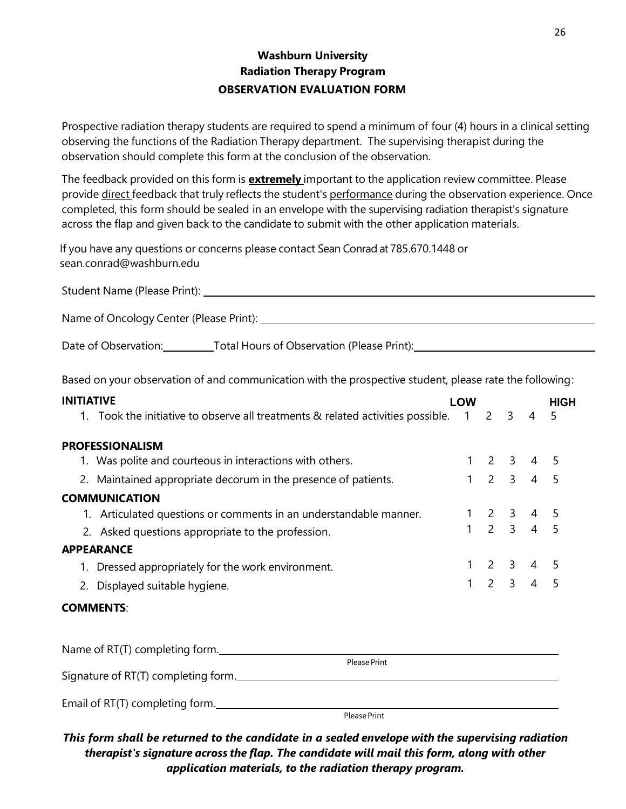# **Washburn University Radiation Therapy Program OBSERVATION EVALUATION FORM**

Prospective radiation therapy students are required to spend a minimum of four (4) hours in a clinical setting observing the functions of the Radiation Therapy department. The supervising therapist during the observation should complete this form at the conclusion of the observation.

The feedback provided on this form is **extremely** important to the application review committee. Please provide direct feedback that truly reflects the student's performance during the observation experience. Once completed, this form should be sealed in an envelope with the supervising radiation therapist's signature across the flap and given back to the candidate to submit with the other application materials.

If you have any questions or concerns please contact Sean Conrad at 785.670.1448 or sean.conrad@washburn.edu

| Student Name (Please Print):            |  |
|-----------------------------------------|--|
|                                         |  |
| Name of Oncology Center (Please Print): |  |

Date of Observation: Total Hours of Observation (Please Print): The Supervation (Please Print):

Based on your observation of and communication with the prospective student, please rate the following:

| <b>INITIATIVE</b> |                                                                                 | <b>LOW</b>          |                                     |                             | <b>HIGH</b> |
|-------------------|---------------------------------------------------------------------------------|---------------------|-------------------------------------|-----------------------------|-------------|
|                   | 1. Took the initiative to observe all treatments & related activities possible. | $1 \quad 2 \quad 3$ |                                     | $\overline{4}$              | .5          |
|                   | <b>PROFESSIONALISM</b>                                                          |                     |                                     |                             |             |
|                   | 1. Was polite and courteous in interactions with others.                        |                     |                                     | $2 \quad 3 \quad 4 \quad 5$ |             |
|                   | 2. Maintained appropriate decorum in the presence of patients.                  |                     | $1 2 3 4 5$                         |                             |             |
|                   | <b>COMMUNICATION</b>                                                            |                     |                                     |                             |             |
|                   | 1. Articulated questions or comments in an understandable manner.               |                     | $1 \quad 2 \quad 3 \quad 4 \quad 5$ |                             |             |
|                   | 2. Asked questions appropriate to the profession.                               | $\mathbf{1}$        | $2 \quad 3 \quad 4 \quad 5$         |                             |             |
|                   | <b>APPEARANCE</b>                                                               |                     |                                     |                             |             |
|                   | 1. Dressed appropriately for the work environment.                              |                     |                                     | $2 \quad 3 \quad 4 \quad 5$ |             |
|                   | 2. Displayed suitable hygiene.                                                  |                     | $1 \quad 2 \quad 3 \quad 4 \quad 5$ |                             |             |
|                   | <b>COMMENTS:</b>                                                                |                     |                                     |                             |             |
|                   | Name of RT(T) completing form.                                                  |                     |                                     |                             |             |

|                                     | Please Print |  |
|-------------------------------------|--------------|--|
| Signature of RT(T) completing form. |              |  |
|                                     |              |  |
| Email of RT(T) completing form.     |              |  |

Please Print

*This form shall be returned to the candidate in a sealed envelope with the supervising radiation therapist's signature across the flap. The candidate will mail this form, along with other application materials, to the radiation therapy program.*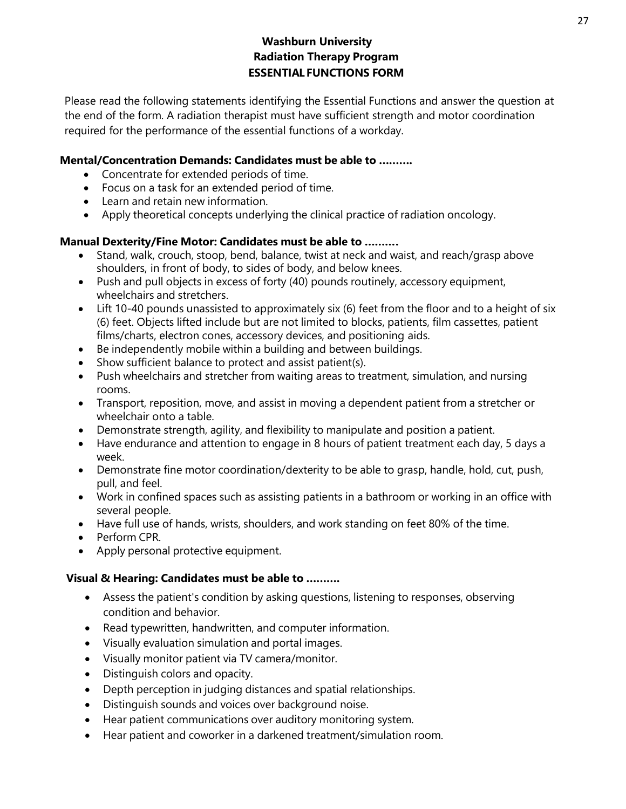Please read the following statements identifying the Essential Functions and answer the question at the end of the form. A radiation therapist must have sufficient strength and motor coordination required for the performance of the essential functions of a workday.

### **Mental/Concentration Demands: Candidates must be able to ……….**

- Concentrate for extended periods of time.
- Focus on a task for an extended period of time.
- Learn and retain new information.
- Apply theoretical concepts underlying the clinical practice of radiation oncology.

## **Manual Dexterity/Fine Motor: Candidates must be able to ……….**

- Stand, walk, crouch, stoop, bend, balance, twist at neck and waist, and reach/grasp above shoulders, in front of body, to sides of body, and below knees.
- Push and pull objects in excess of forty (40) pounds routinely, accessory equipment, wheelchairs and stretchers.
- Lift 10-40 pounds unassisted to approximately six (6) feet from the floor and to a height of six (6) feet. Objects lifted include but are not limited to blocks, patients, film cassettes, patient films/charts, electron cones, accessory devices, and positioning aids.
- Be independently mobile within a building and between buildings.
- Show sufficient balance to protect and assist patient(s).
- Push wheelchairs and stretcher from waiting areas to treatment, simulation, and nursing rooms.
- Transport, reposition, move, and assist in moving a dependent patient from a stretcher or wheelchair onto a table.
- Demonstrate strength, agility, and flexibility to manipulate and position a patient.
- Have endurance and attention to engage in 8 hours of patient treatment each day, 5 days a week.
- Demonstrate fine motor coordination/dexterity to be able to grasp, handle, hold, cut, push, pull, and feel.
- Work in confined spaces such as assisting patients in a bathroom or working in an office with several people.
- Have full use of hands, wrists, shoulders, and work standing on feet 80% of the time.
- Perform CPR.
- Apply personal protective equipment.

# **Visual & Hearing: Candidates must be able to ……….**

- Assess the patient's condition by asking questions, listening to responses, observing condition and behavior.
- Read typewritten, handwritten, and computer information.
- Visually evaluation simulation and portal images.
- Visually monitor patient via TV camera/monitor.
- Distinguish colors and opacity.
- Depth perception in judging distances and spatial relationships.
- Distinguish sounds and voices over background noise.
- Hear patient communications over auditory monitoring system.
- Hear patient and coworker in a darkened treatment/simulation room.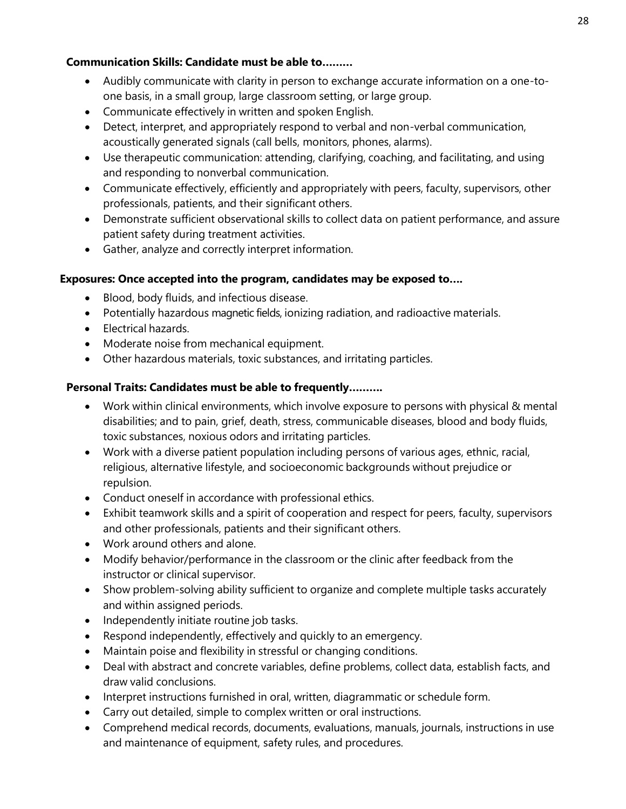# **Communication Skills: Candidate must be able to………**

- Audibly communicate with clarity in person to exchange accurate information on a one-toone basis, in a small group, large classroom setting, or large group.
- Communicate effectively in written and spoken English.
- Detect, interpret, and appropriately respond to verbal and non-verbal communication, acoustically generated signals (call bells, monitors, phones, alarms).
- Use therapeutic communication: attending, clarifying, coaching, and facilitating, and using and responding to nonverbal communication.
- Communicate effectively, efficiently and appropriately with peers, faculty, supervisors, other professionals, patients, and their significant others.
- Demonstrate sufficient observational skills to collect data on patient performance, and assure patient safety during treatment activities.
- Gather, analyze and correctly interpret information.

### **Exposures: Once accepted into the program, candidates may be exposed to….**

- Blood, body fluids, and infectious disease.
- Potentially hazardous magnetic fields, ionizing radiation, and radioactive materials.
- Electrical hazards.
- Moderate noise from mechanical equipment.
- Other hazardous materials, toxic substances, and irritating particles.

### **Personal Traits: Candidates must be able to frequently……….**

- Work within clinical environments, which involve exposure to persons with physical & mental disabilities; and to pain, grief, death, stress, communicable diseases, blood and body fluids, toxic substances, noxious odors and irritating particles.
- Work with a diverse patient population including persons of various ages, ethnic, racial, religious, alternative lifestyle, and socioeconomic backgrounds without prejudice or repulsion.
- Conduct oneself in accordance with professional ethics.
- Exhibit teamwork skills and a spirit of cooperation and respect for peers, faculty, supervisors and other professionals, patients and their significant others.
- Work around others and alone.
- Modify behavior/performance in the classroom or the clinic after feedback from the instructor or clinical supervisor.
- Show problem-solving ability sufficient to organize and complete multiple tasks accurately and within assigned periods.
- Independently initiate routine job tasks.
- Respond independently, effectively and quickly to an emergency.
- Maintain poise and flexibility in stressful or changing conditions.
- Deal with abstract and concrete variables, define problems, collect data, establish facts, and draw valid conclusions.
- Interpret instructions furnished in oral, written, diagrammatic or schedule form.
- Carry out detailed, simple to complex written or oral instructions.
- Comprehend medical records, documents, evaluations, manuals, journals, instructions in use and maintenance of equipment, safety rules, and procedures.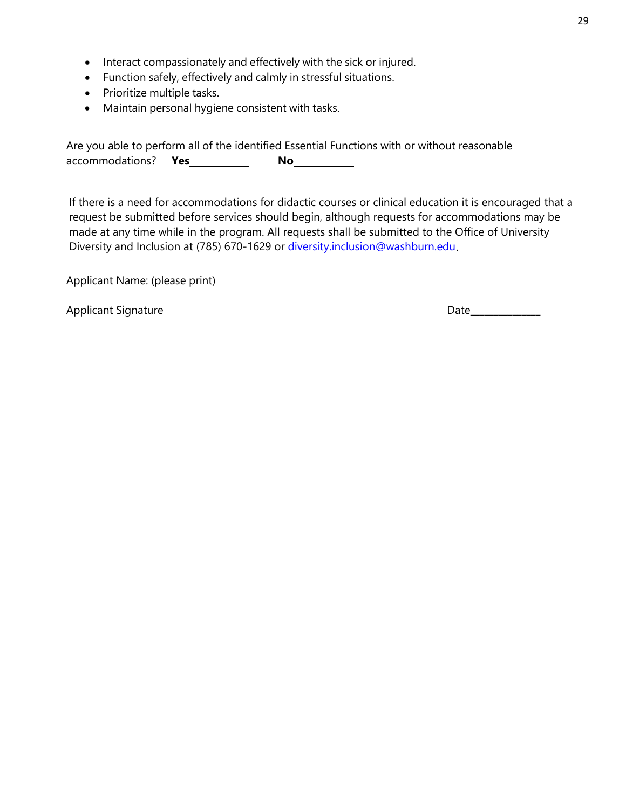- Interact compassionately and effectively with the sick or injured.
- Function safely, effectively and calmly in stressful situations.
- Prioritize multiple tasks.
- Maintain personal hygiene consistent with tasks.

Are you able to perform all of the identified Essential Functions with or without reasonable accommodations? **Yes No**

If there is a need for accommodations for didactic courses or clinical education it is encouraged that a request be submitted before services should begin, although requests for accommodations may be made at any time while in the program. All requests shall be submitted to the Office of University Diversity and Inclusion at (785) 670-1629 or [diversity.inclusion@washburn.edu](mailto:diversity.inclusion@washburn.edu).

| Applicant Name: (please print) |      |
|--------------------------------|------|
|                                |      |
| Applicant Signature            | Date |